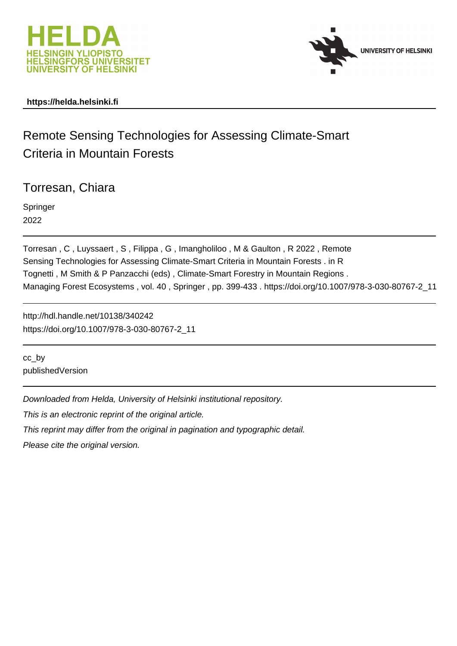



## **https://helda.helsinki.fi**

# Remote Sensing Technologies for Assessing Climate-Smart Criteria in Mountain Forests

Torresan, Chiara

Springer 2022

Torresan , C , Luyssaert , S , Filippa , G , Imangholiloo , M & Gaulton , R 2022 , Remote Sensing Technologies for Assessing Climate-Smart Criteria in Mountain Forests . in R Tognetti , M Smith & P Panzacchi (eds) , Climate-Smart Forestry in Mountain Regions . Managing Forest Ecosystems , vol. 40 , Springer , pp. 399-433 . https://doi.org/10.1007/978-3-030-80767-2\_11

http://hdl.handle.net/10138/340242 https://doi.org/10.1007/978-3-030-80767-2\_11

cc\_by publishedVersion

Downloaded from Helda, University of Helsinki institutional repository.

This is an electronic reprint of the original article.

This reprint may differ from the original in pagination and typographic detail.

Please cite the original version.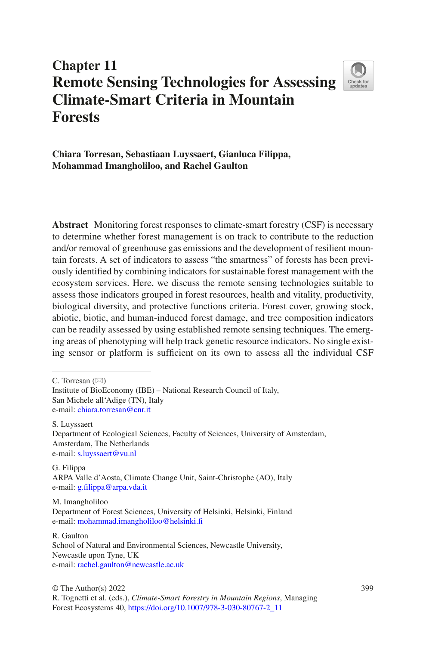## **Chapter 11 Remote Sensing Technologies for Assessing Climate-Smart Criteria in Mountain Forests**



**Chiara Torresan, Sebastiaan Luyssaert, Gianluca Filippa, Mohammad Imangholiloo, and Rachel Gaulton**

**Abstract** Monitoring forest responses to climate-smart forestry (CSF) is necessary to determine whether forest management is on track to contribute to the reduction and/or removal of greenhouse gas emissions and the development of resilient mountain forests. A set of indicators to assess "the smartness" of forests has been previously identifed by combining indicators for sustainable forest management with the ecosystem services. Here, we discuss the remote sensing technologies suitable to assess those indicators grouped in forest resources, health and vitality, productivity, biological diversity, and protective functions criteria. Forest cover, growing stock, abiotic, biotic, and human-induced forest damage, and tree composition indicators can be readily assessed by using established remote sensing techniques. The emerging areas of phenotyping will help track genetic resource indicators. No single existing sensor or platform is sufficient on its own to assess all the individual CSF

C. Torresan  $(\boxtimes)$ 

S. Luyssaert Department of Ecological Sciences, Faculty of Sciences, University of Amsterdam, Amsterdam, The Netherlands e-mail: [s.luyssaert@vu.nl](mailto:s.luyssaert@vu.nl)

G. Filippa ARPA Valle d'Aosta, Climate Change Unit, Saint-Christophe (AO), Italy e-mail: [g.flippa@arpa.vda.it](mailto:g.filippa@arpa.vda.it)

M. Imangholiloo Department of Forest Sciences, University of Helsinki, Helsinki, Finland e-mail: [mohammad.imangholiloo@helsinki.f](mailto:mohammad.imangholiloo@helsinki.fi)

R. Gaulton School of Natural and Environmental Sciences, Newcastle University, Newcastle upon Tyne, UK e-mail: [rachel.gaulton@newcastle.ac.uk](mailto:rachel.gaulton@newcastle.ac.uk)

Institute of BioEconomy (IBE) – National Research Council of Italy, San Michele all'Adige (TN), Italy e-mail: [chiara.torresan@cnr.it](mailto:chiara.torresan@cnr.it)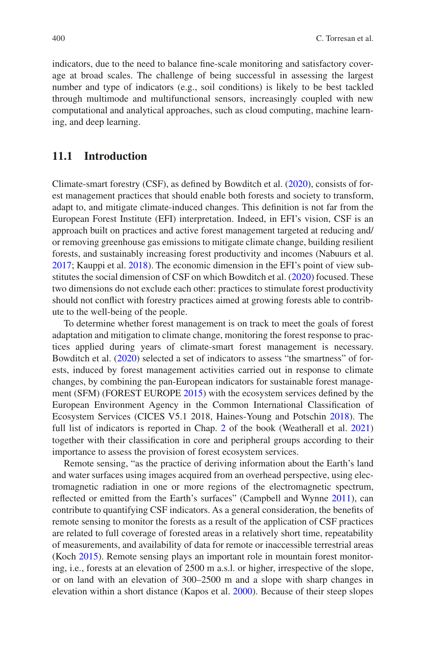indicators, due to the need to balance fne-scale monitoring and satisfactory coverage at broad scales. The challenge of being successful in assessing the largest number and type of indicators (e.g., soil conditions) is likely to be best tackled through multimode and multifunctional sensors, increasingly coupled with new computational and analytical approaches, such as cloud computing, machine learning, and deep learning.

#### **11.1 Introduction**

Climate-smart forestry (CSF), as defned by Bowditch et al. (2020), consists of forest management practices that should enable both forests and society to transform, adapt to, and mitigate climate-induced changes. This defnition is not far from the European Forest Institute (EFI) interpretation. Indeed, in EFI's vision, CSF is an approach built on practices and active forest management targeted at reducing and/ or removing greenhouse gas emissions to mitigate climate change, building resilient forests, and sustainably increasing forest productivity and incomes (Nabuurs et al. 2017; Kauppi et al. 2018). The economic dimension in the EFI's point of view substitutes the social dimension of CSF on which Bowditch et al. (2020) focused. These two dimensions do not exclude each other: practices to stimulate forest productivity should not confict with forestry practices aimed at growing forests able to contribute to the well-being of the people.

To determine whether forest management is on track to meet the goals of forest adaptation and mitigation to climate change, monitoring the forest response to practices applied during years of climate-smart forest management is necessary. Bowditch et al. (2020) selected a set of indicators to assess "the smartness" of forests, induced by forest management activities carried out in response to climate changes, by combining the pan-European indicators for sustainable forest management (SFM) (FOREST EUROPE 2015) with the ecosystem services defned by the European Environment Agency in the Common International Classifcation of Ecosystem Services (CICES V5.1 2018, Haines-Young and Potschin 2018). The full list of indicators is reported in Chap. [2](https://doi.org/10.1007/978-3-030-80767-2_2) of the book (Weatherall et al. 2021) together with their classifcation in core and peripheral groups according to their importance to assess the provision of forest ecosystem services.

Remote sensing, "as the practice of deriving information about the Earth's land and water surfaces using images acquired from an overhead perspective, using electromagnetic radiation in one or more regions of the electromagnetic spectrum, refected or emitted from the Earth's surfaces" (Campbell and Wynne 2011), can contribute to quantifying CSF indicators. As a general consideration, the benefts of remote sensing to monitor the forests as a result of the application of CSF practices are related to full coverage of forested areas in a relatively short time, repeatability of measurements, and availability of data for remote or inaccessible terrestrial areas (Koch 2015). Remote sensing plays an important role in mountain forest monitoring, i.e., forests at an elevation of 2500 m a.s.l. or higher, irrespective of the slope, or on land with an elevation of 300–2500 m and a slope with sharp changes in elevation within a short distance (Kapos et al. 2000). Because of their steep slopes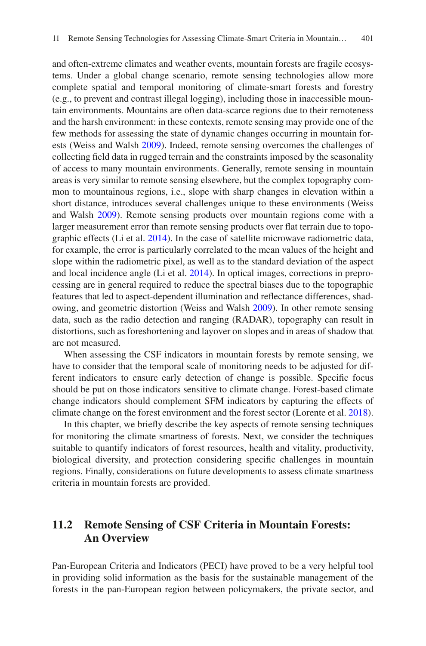and often-extreme climates and weather events, mountain forests are fragile ecosystems. Under a global change scenario, remote sensing technologies allow more complete spatial and temporal monitoring of climate-smart forests and forestry (e.g., to prevent and contrast illegal logging), including those in inaccessible mountain environments. Mountains are often data-scarce regions due to their remoteness and the harsh environment: in these contexts, remote sensing may provide one of the few methods for assessing the state of dynamic changes occurring in mountain forests (Weiss and Walsh 2009). Indeed, remote sensing overcomes the challenges of collecting feld data in rugged terrain and the constraints imposed by the seasonality of access to many mountain environments. Generally, remote sensing in mountain areas is very similar to remote sensing elsewhere, but the complex topography common to mountainous regions, i.e., slope with sharp changes in elevation within a short distance, introduces several challenges unique to these environments (Weiss and Walsh 2009). Remote sensing products over mountain regions come with a larger measurement error than remote sensing products over fat terrain due to topographic effects (Li et al. 2014). In the case of satellite microwave radiometric data, for example, the error is particularly correlated to the mean values of the height and slope within the radiometric pixel, as well as to the standard deviation of the aspect and local incidence angle (Li et al. 2014). In optical images, corrections in preprocessing are in general required to reduce the spectral biases due to the topographic features that led to aspect-dependent illumination and refectance differences, shadowing, and geometric distortion (Weiss and Walsh 2009). In other remote sensing data, such as the radio detection and ranging (RADAR), topography can result in distortions, such as foreshortening and layover on slopes and in areas of shadow that are not measured.

When assessing the CSF indicators in mountain forests by remote sensing, we have to consider that the temporal scale of monitoring needs to be adjusted for different indicators to ensure early detection of change is possible. Specifc focus should be put on those indicators sensitive to climate change. Forest-based climate change indicators should complement SFM indicators by capturing the effects of climate change on the forest environment and the forest sector (Lorente et al. 2018).

In this chapter, we briefy describe the key aspects of remote sensing techniques for monitoring the climate smartness of forests. Next, we consider the techniques suitable to quantify indicators of forest resources, health and vitality, productivity, biological diversity, and protection considering specifc challenges in mountain regions. Finally, considerations on future developments to assess climate smartness criteria in mountain forests are provided.

#### **11.2 Remote Sensing of CSF Criteria in Mountain Forests: An Overview**

Pan-European Criteria and Indicators (PECI) have proved to be a very helpful tool in providing solid information as the basis for the sustainable management of the forests in the pan-European region between policymakers, the private sector, and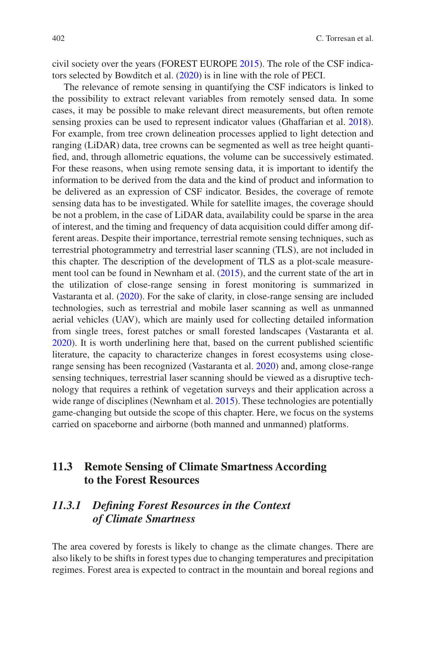civil society over the years (FOREST EUROPE 2015). The role of the CSF indicators selected by Bowditch et al. (2020) is in line with the role of PECI.

The relevance of remote sensing in quantifying the CSF indicators is linked to the possibility to extract relevant variables from remotely sensed data. In some cases, it may be possible to make relevant direct measurements, but often remote sensing proxies can be used to represent indicator values (Ghaffarian et al. 2018). For example, from tree crown delineation processes applied to light detection and ranging (LiDAR) data, tree crowns can be segmented as well as tree height quantifed, and, through allometric equations, the volume can be successively estimated. For these reasons, when using remote sensing data, it is important to identify the information to be derived from the data and the kind of product and information to be delivered as an expression of CSF indicator. Besides, the coverage of remote sensing data has to be investigated. While for satellite images, the coverage should be not a problem, in the case of LiDAR data, availability could be sparse in the area of interest, and the timing and frequency of data acquisition could differ among different areas. Despite their importance, terrestrial remote sensing techniques, such as terrestrial photogrammetry and terrestrial laser scanning (TLS), are not included in this chapter. The description of the development of TLS as a plot-scale measurement tool can be found in Newnham et al. (2015), and the current state of the art in the utilization of close-range sensing in forest monitoring is summarized in Vastaranta et al. (2020). For the sake of clarity, in close-range sensing are included technologies, such as terrestrial and mobile laser scanning as well as unmanned aerial vehicles (UAV), which are mainly used for collecting detailed information from single trees, forest patches or small forested landscapes (Vastaranta et al. 2020). It is worth underlining here that, based on the current published scientifc literature, the capacity to characterize changes in forest ecosystems using closerange sensing has been recognized (Vastaranta et al. 2020) and, among close-range sensing techniques, terrestrial laser scanning should be viewed as a disruptive technology that requires a rethink of vegetation surveys and their application across a wide range of disciplines (Newnham et al. 2015). These technologies are potentially game-changing but outside the scope of this chapter. Here, we focus on the systems carried on spaceborne and airborne (both manned and unmanned) platforms.

#### **11.3 Remote Sensing of Climate Smartness According to the Forest Resources**

## *11.3.1 Defning Forest Resources in the Context of Climate Smartness*

The area covered by forests is likely to change as the climate changes. There are also likely to be shifts in forest types due to changing temperatures and precipitation regimes. Forest area is expected to contract in the mountain and boreal regions and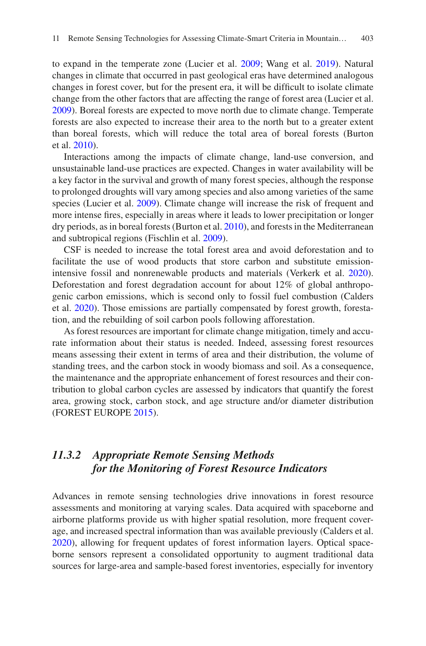to expand in the temperate zone (Lucier et al. 2009; Wang et al. 2019). Natural changes in climate that occurred in past geological eras have determined analogous changes in forest cover, but for the present era, it will be diffcult to isolate climate change from the other factors that are affecting the range of forest area (Lucier et al. 2009). Boreal forests are expected to move north due to climate change. Temperate forests are also expected to increase their area to the north but to a greater extent than boreal forests, which will reduce the total area of boreal forests (Burton et al. 2010).

Interactions among the impacts of climate change, land-use conversion, and unsustainable land-use practices are expected. Changes in water availability will be a key factor in the survival and growth of many forest species, although the response to prolonged droughts will vary among species and also among varieties of the same species (Lucier et al. 2009). Climate change will increase the risk of frequent and more intense fres, especially in areas where it leads to lower precipitation or longer dry periods, as in boreal forests (Burton et al. 2010), and forests in the Mediterranean and subtropical regions (Fischlin et al. 2009).

CSF is needed to increase the total forest area and avoid deforestation and to facilitate the use of wood products that store carbon and substitute emissionintensive fossil and nonrenewable products and materials (Verkerk et al. 2020). Deforestation and forest degradation account for about 12% of global anthropogenic carbon emissions, which is second only to fossil fuel combustion (Calders et al. 2020). Those emissions are partially compensated by forest growth, forestation, and the rebuilding of soil carbon pools following afforestation.

As forest resources are important for climate change mitigation, timely and accurate information about their status is needed. Indeed, assessing forest resources means assessing their extent in terms of area and their distribution, the volume of standing trees, and the carbon stock in woody biomass and soil. As a consequence, the maintenance and the appropriate enhancement of forest resources and their contribution to global carbon cycles are assessed by indicators that quantify the forest area, growing stock, carbon stock, and age structure and/or diameter distribution (FOREST EUROPE 2015).

#### *11.3.2 Appropriate Remote Sensing Methods for the Monitoring of Forest Resource Indicators*

Advances in remote sensing technologies drive innovations in forest resource assessments and monitoring at varying scales. Data acquired with spaceborne and airborne platforms provide us with higher spatial resolution, more frequent coverage, and increased spectral information than was available previously (Calders et al. 2020), allowing for frequent updates of forest information layers. Optical spaceborne sensors represent a consolidated opportunity to augment traditional data sources for large-area and sample-based forest inventories, especially for inventory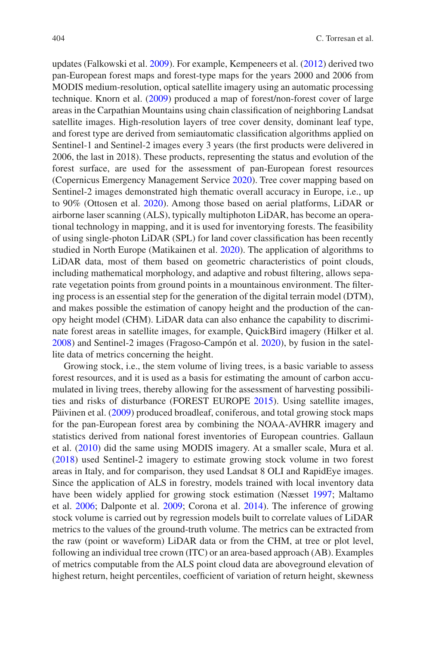updates (Falkowski et al. 2009). For example, Kempeneers et al. (2012) derived two pan-European forest maps and forest-type maps for the years 2000 and 2006 from MODIS medium-resolution, optical satellite imagery using an automatic processing technique. Knorn et al. (2009) produced a map of forest/non-forest cover of large areas in the Carpathian Mountains using chain classifcation of neighboring Landsat satellite images. High-resolution layers of tree cover density, dominant leaf type, and forest type are derived from semiautomatic classifcation algorithms applied on Sentinel-1 and Sentinel-2 images every 3 years (the frst products were delivered in 2006, the last in 2018). These products, representing the status and evolution of the forest surface, are used for the assessment of pan-European forest resources (Copernicus Emergency Management Service 2020). Tree cover mapping based on Sentinel-2 images demonstrated high thematic overall accuracy in Europe, i.e., up to 90% (Ottosen et al. 2020). Among those based on aerial platforms, LiDAR or airborne laser scanning (ALS), typically multiphoton LiDAR, has become an operational technology in mapping, and it is used for inventorying forests. The feasibility of using single-photon LiDAR (SPL) for land cover classifcation has been recently studied in North Europe (Matikainen et al. 2020). The application of algorithms to LiDAR data, most of them based on geometric characteristics of point clouds, including mathematical morphology, and adaptive and robust fltering, allows separate vegetation points from ground points in a mountainous environment. The fltering process is an essential step for the generation of the digital terrain model (DTM), and makes possible the estimation of canopy height and the production of the canopy height model (CHM). LiDAR data can also enhance the capability to discriminate forest areas in satellite images, for example, QuickBird imagery (Hilker et al. 2008) and Sentinel-2 images (Fragoso-Campón et al. 2020), by fusion in the satellite data of metrics concerning the height.

Growing stock, i.e., the stem volume of living trees, is a basic variable to assess forest resources, and it is used as a basis for estimating the amount of carbon accumulated in living trees, thereby allowing for the assessment of harvesting possibilities and risks of disturbance (FOREST EUROPE 2015). Using satellite images, Päivinen et al. (2009) produced broadleaf, coniferous, and total growing stock maps for the pan-European forest area by combining the NOAA-AVHRR imagery and statistics derived from national forest inventories of European countries. Gallaun et al. (2010) did the same using MODIS imagery. At a smaller scale, Mura et al. (2018) used Sentinel-2 imagery to estimate growing stock volume in two forest areas in Italy, and for comparison, they used Landsat 8 OLI and RapidEye images. Since the application of ALS in forestry, models trained with local inventory data have been widely applied for growing stock estimation (Næsset 1997; Maltamo et al. 2006; Dalponte et al. 2009; Corona et al. 2014). The inference of growing stock volume is carried out by regression models built to correlate values of LiDAR metrics to the values of the ground-truth volume. The metrics can be extracted from the raw (point or waveform) LiDAR data or from the CHM, at tree or plot level, following an individual tree crown (ITC) or an area-based approach (AB). Examples of metrics computable from the ALS point cloud data are aboveground elevation of highest return, height percentiles, coeffcient of variation of return height, skewness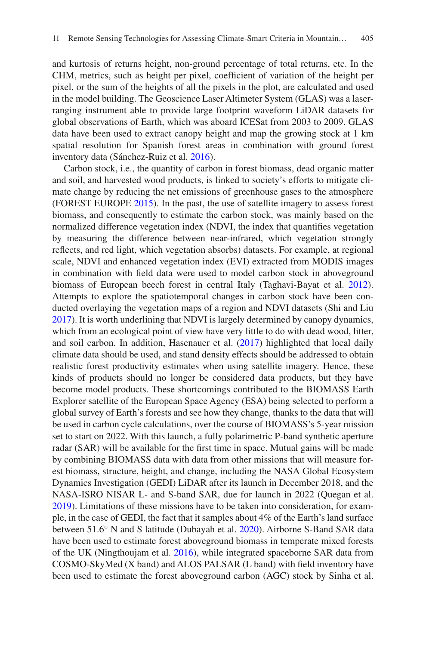and kurtosis of returns height, non-ground percentage of total returns, etc. In the CHM, metrics, such as height per pixel, coeffcient of variation of the height per pixel, or the sum of the heights of all the pixels in the plot, are calculated and used in the model building. The Geoscience Laser Altimeter System (GLAS) was a laserranging instrument able to provide large footprint waveform LiDAR datasets for global observations of Earth, which was aboard ICESat from 2003 to 2009. GLAS data have been used to extract canopy height and map the growing stock at 1 km spatial resolution for Spanish forest areas in combination with ground forest inventory data (Sánchez-Ruiz et al. 2016).

Carbon stock, i.e., the quantity of carbon in forest biomass, dead organic matter and soil, and harvested wood products, is linked to society's efforts to mitigate climate change by reducing the net emissions of greenhouse gases to the atmosphere (FOREST EUROPE 2015). In the past, the use of satellite imagery to assess forest biomass, and consequently to estimate the carbon stock, was mainly based on the normalized difference vegetation index (NDVI, the index that quantifes vegetation by measuring the difference between near-infrared, which vegetation strongly refects, and red light, which vegetation absorbs) datasets. For example, at regional scale, NDVI and enhanced vegetation index (EVI) extracted from MODIS images in combination with feld data were used to model carbon stock in aboveground biomass of European beech forest in central Italy (Taghavi-Bayat et al. 2012). Attempts to explore the spatiotemporal changes in carbon stock have been conducted overlaying the vegetation maps of a region and NDVI datasets (Shi and Liu 2017). It is worth underlining that NDVI is largely determined by canopy dynamics, which from an ecological point of view have very little to do with dead wood, litter, and soil carbon. In addition, Hasenauer et al. (2017) highlighted that local daily climate data should be used, and stand density effects should be addressed to obtain realistic forest productivity estimates when using satellite imagery. Hence, these kinds of products should no longer be considered data products, but they have become model products. These shortcomings contributed to the BIOMASS Earth Explorer satellite of the European Space Agency (ESA) being selected to perform a global survey of Earth's forests and see how they change, thanks to the data that will be used in carbon cycle calculations, over the course of BIOMASS's 5-year mission set to start on 2022. With this launch, a fully polarimetric P-band synthetic aperture radar (SAR) will be available for the frst time in space. Mutual gains will be made by combining BIOMASS data with data from other missions that will measure forest biomass, structure, height, and change, including the NASA Global Ecosystem Dynamics Investigation (GEDI) LiDAR after its launch in December 2018, and the NASA-ISRO NISAR L- and S-band SAR, due for launch in 2022 (Quegan et al. 2019). Limitations of these missions have to be taken into consideration, for example, in the case of GEDI, the fact that it samples about 4% of the Earth's land surface between 51.6° N and S latitude (Dubayah et al. 2020). Airborne S-Band SAR data have been used to estimate forest aboveground biomass in temperate mixed forests of the UK (Ningthoujam et al. 2016), while integrated spaceborne SAR data from COSMO-SkyMed (X band) and ALOS PALSAR (L band) with feld inventory have been used to estimate the forest aboveground carbon (AGC) stock by Sinha et al.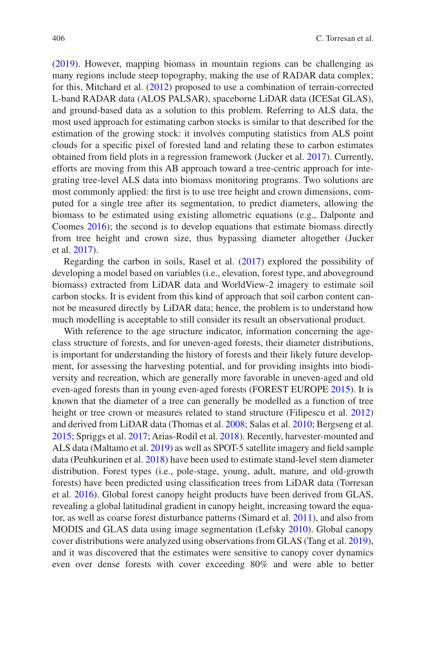(2019). However, mapping biomass in mountain regions can be challenging as many regions include steep topography, making the use of RADAR data complex; for this, Mitchard et al. (2012) proposed to use a combination of terrain-corrected L-band RADAR data (ALOS PALSAR), spaceborne LiDAR data (ICESat GLAS), and ground-based data as a solution to this problem. Referring to ALS data, the most used approach for estimating carbon stocks is similar to that described for the estimation of the growing stock: it involves computing statistics from ALS point clouds for a specifc pixel of forested land and relating these to carbon estimates obtained from feld plots in a regression framework (Jucker et al. 2017). Currently, efforts are moving from this AB approach toward a tree-centric approach for integrating tree-level ALS data into biomass monitoring programs. Two solutions are most commonly applied: the frst is to use tree height and crown dimensions, computed for a single tree after its segmentation, to predict diameters, allowing the biomass to be estimated using existing allometric equations (e.g., Dalponte and Coomes 2016); the second is to develop equations that estimate biomass directly from tree height and crown size, thus bypassing diameter altogether (Jucker et al. 2017).

Regarding the carbon in soils, Rasel et al. (2017) explored the possibility of developing a model based on variables (i.e., elevation, forest type, and aboveground biomass) extracted from LiDAR data and WorldView-2 imagery to estimate soil carbon stocks. It is evident from this kind of approach that soil carbon content cannot be measured directly by LiDAR data; hence, the problem is to understand how much modelling is acceptable to still consider its result an observational product.

With reference to the age structure indicator, information concerning the ageclass structure of forests, and for uneven-aged forests, their diameter distributions, is important for understanding the history of forests and their likely future development, for assessing the harvesting potential, and for providing insights into biodiversity and recreation, which are generally more favorable in uneven-aged and old even-aged forests than in young even-aged forests (FOREST EUROPE 2015). It is known that the diameter of a tree can generally be modelled as a function of tree height or tree crown or measures related to stand structure (Filipescu et al. 2012) and derived from LiDAR data (Thomas et al. 2008; Salas et al. 2010; Bergseng et al. 2015; Spriggs et al. 2017; Arias-Rodil et al. 2018). Recently, harvester-mounted and ALS data (Maltamo et al. 2019) as well as SPOT-5 satellite imagery and feld sample data (Peuhkurinen et al. 2018) have been used to estimate stand-level stem diameter distribution. Forest types (i.e., pole-stage, young, adult, mature, and old-growth forests) have been predicted using classifcation trees from LiDAR data (Torresan et al. 2016). Global forest canopy height products have been derived from GLAS, revealing a global latitudinal gradient in canopy height, increasing toward the equator, as well as coarse forest disturbance patterns (Simard et al. 2011), and also from MODIS and GLAS data using image segmentation (Lefsky 2010). Global canopy cover distributions were analyzed using observations from GLAS (Tang et al. 2019), and it was discovered that the estimates were sensitive to canopy cover dynamics even over dense forests with cover exceeding 80% and were able to better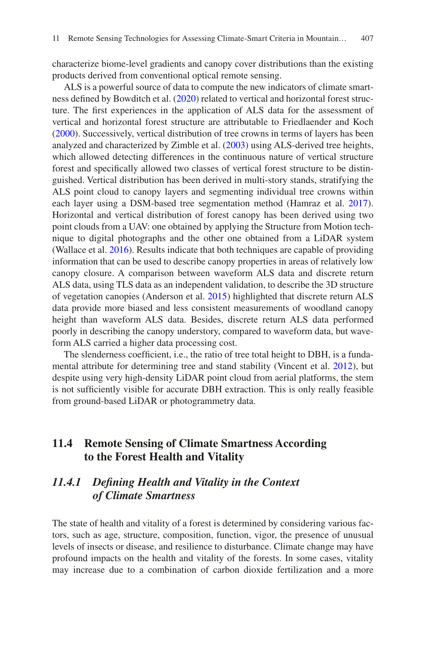characterize biome-level gradients and canopy cover distributions than the existing products derived from conventional optical remote sensing.

ALS is a powerful source of data to compute the new indicators of climate smartness defned by Bowditch et al. (2020) related to vertical and horizontal forest structure. The frst experiences in the application of ALS data for the assessment of vertical and horizontal forest structure are attributable to Friedlaender and Koch (2000). Successively, vertical distribution of tree crowns in terms of layers has been analyzed and characterized by Zimble et al. (2003) using ALS-derived tree heights, which allowed detecting differences in the continuous nature of vertical structure forest and specifcally allowed two classes of vertical forest structure to be distinguished. Vertical distribution has been derived in multi-story stands, stratifying the ALS point cloud to canopy layers and segmenting individual tree crowns within each layer using a DSM-based tree segmentation method (Hamraz et al. 2017). Horizontal and vertical distribution of forest canopy has been derived using two point clouds from a UAV: one obtained by applying the Structure from Motion technique to digital photographs and the other one obtained from a LiDAR system (Wallace et al. 2016). Results indicate that both techniques are capable of providing information that can be used to describe canopy properties in areas of relatively low canopy closure. A comparison between waveform ALS data and discrete return ALS data, using TLS data as an independent validation, to describe the 3D structure of vegetation canopies (Anderson et al. 2015) highlighted that discrete return ALS data provide more biased and less consistent measurements of woodland canopy height than waveform ALS data. Besides, discrete return ALS data performed poorly in describing the canopy understory, compared to waveform data, but waveform ALS carried a higher data processing cost.

The slenderness coefficient, i.e., the ratio of tree total height to DBH, is a fundamental attribute for determining tree and stand stability (Vincent et al. 2012), but despite using very high-density LiDAR point cloud from aerial platforms, the stem is not suffciently visible for accurate DBH extraction. This is only really feasible from ground-based LiDAR or photogrammetry data.

#### **11.4 Remote Sensing of Climate Smartness According to the Forest Health and Vitality**

#### *11.4.1 Defning Health and Vitality in the Context of Climate Smartness*

The state of health and vitality of a forest is determined by considering various factors, such as age, structure, composition, function, vigor, the presence of unusual levels of insects or disease, and resilience to disturbance. Climate change may have profound impacts on the health and vitality of the forests. In some cases, vitality may increase due to a combination of carbon dioxide fertilization and a more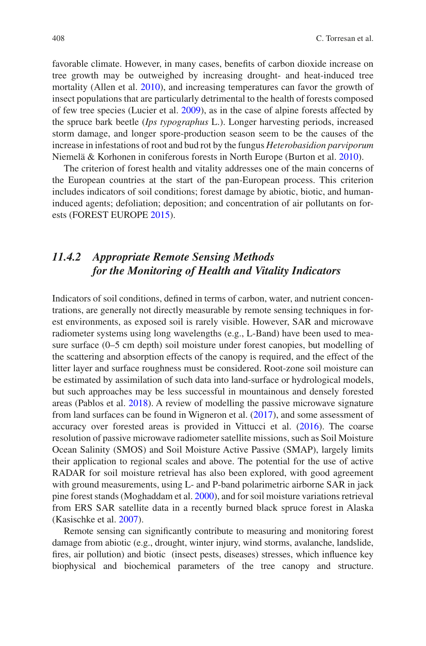favorable climate. However, in many cases, benefts of carbon dioxide increase on tree growth may be outweighed by increasing drought- and heat-induced tree mortality (Allen et al. 2010), and increasing temperatures can favor the growth of insect populations that are particularly detrimental to the health of forests composed of few tree species (Lucier et al. 2009), as in the case of alpine forests affected by the spruce bark beetle (*Ips typographus* L.). Longer harvesting periods, increased storm damage, and longer spore-production season seem to be the causes of the increase in infestations of root and bud rot by the fungus *Heterobasidion parviporum* Niemelä & Korhonen in coniferous forests in North Europe (Burton et al. 2010).

The criterion of forest health and vitality addresses one of the main concerns of the European countries at the start of the pan-European process. This criterion includes indicators of soil conditions; forest damage by abiotic, biotic, and humaninduced agents; defoliation; deposition; and concentration of air pollutants on forests (FOREST EUROPE 2015).

## *11.4.2 Appropriate Remote Sensing Methods for the Monitoring of Health and Vitality Indicators*

Indicators of soil conditions, defned in terms of carbon, water, and nutrient concentrations, are generally not directly measurable by remote sensing techniques in forest environments, as exposed soil is rarely visible. However, SAR and microwave radiometer systems using long wavelengths (e.g., L-Band) have been used to measure surface (0–5 cm depth) soil moisture under forest canopies, but modelling of the scattering and absorption effects of the canopy is required, and the effect of the litter layer and surface roughness must be considered. Root-zone soil moisture can be estimated by assimilation of such data into land-surface or hydrological models, but such approaches may be less successful in mountainous and densely forested areas (Pablos et al. 2018). A review of modelling the passive microwave signature from land surfaces can be found in Wigneron et al. (2017), and some assessment of accuracy over forested areas is provided in Vittucci et al. (2016). The coarse resolution of passive microwave radiometer satellite missions, such as Soil Moisture Ocean Salinity (SMOS) and Soil Moisture Active Passive (SMAP), largely limits their application to regional scales and above. The potential for the use of active RADAR for soil moisture retrieval has also been explored, with good agreement with ground measurements, using L- and P-band polarimetric airborne SAR in jack pine forest stands (Moghaddam et al. 2000), and for soil moisture variations retrieval from ERS SAR satellite data in a recently burned black spruce forest in Alaska (Kasischke et al. 2007).

Remote sensing can signifcantly contribute to measuring and monitoring forest damage from abiotic (e.g., drought, winter injury, wind storms, avalanche, landslide, fres, air pollution) and biotic (insect pests, diseases) stresses, which infuence key biophysical and biochemical parameters of the tree canopy and structure.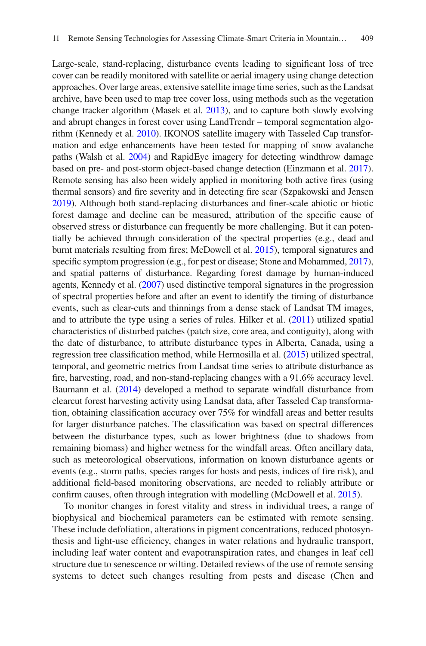Large-scale, stand-replacing, disturbance events leading to signifcant loss of tree cover can be readily monitored with satellite or aerial imagery using change detection approaches. Over large areas, extensive satellite image time series, such as the Landsat archive, have been used to map tree cover loss, using methods such as the vegetation change tracker algorithm (Masek et al. 2013), and to capture both slowly evolving and abrupt changes in forest cover using LandTrendr – temporal segmentation algorithm (Kennedy et al. 2010). IKONOS satellite imagery with Tasseled Cap transformation and edge enhancements have been tested for mapping of snow avalanche paths (Walsh et al. 2004) and RapidEye imagery for detecting windthrow damage based on pre- and post-storm object-based change detection (Einzmann et al. 2017). Remote sensing has also been widely applied in monitoring both active fres (using thermal sensors) and fre severity and in detecting fre scar (Szpakowski and Jensen 2019). Although both stand-replacing disturbances and fner-scale abiotic or biotic forest damage and decline can be measured, attribution of the specifc cause of observed stress or disturbance can frequently be more challenging. But it can potentially be achieved through consideration of the spectral properties (e.g., dead and burnt materials resulting from fres; McDowell et al. 2015), temporal signatures and specific symptom progression (e.g., for pest or disease; Stone and Mohammed, 2017), and spatial patterns of disturbance. Regarding forest damage by human-induced agents, Kennedy et al. (2007) used distinctive temporal signatures in the progression of spectral properties before and after an event to identify the timing of disturbance events, such as clear-cuts and thinnings from a dense stack of Landsat TM images, and to attribute the type using a series of rules. Hilker et al. (2011) utilized spatial characteristics of disturbed patches (patch size, core area, and contiguity), along with the date of disturbance, to attribute disturbance types in Alberta, Canada, using a regression tree classifcation method, while Hermosilla et al. (2015) utilized spectral, temporal, and geometric metrics from Landsat time series to attribute disturbance as fre, harvesting, road, and non-stand-replacing changes with a 91.6% accuracy level. Baumann et al. (2014) developed a method to separate windfall disturbance from clearcut forest harvesting activity using Landsat data, after Tasseled Cap transformation, obtaining classifcation accuracy over 75% for windfall areas and better results for larger disturbance patches. The classifcation was based on spectral differences between the disturbance types, such as lower brightness (due to shadows from remaining biomass) and higher wetness for the windfall areas. Often ancillary data, such as meteorological observations, information on known disturbance agents or events (e.g., storm paths, species ranges for hosts and pests, indices of fre risk), and additional feld-based monitoring observations, are needed to reliably attribute or confrm causes, often through integration with modelling (McDowell et al. 2015).

To monitor changes in forest vitality and stress in individual trees, a range of biophysical and biochemical parameters can be estimated with remote sensing. These include defoliation, alterations in pigment concentrations, reduced photosynthesis and light-use effciency, changes in water relations and hydraulic transport, including leaf water content and evapotranspiration rates, and changes in leaf cell structure due to senescence or wilting. Detailed reviews of the use of remote sensing systems to detect such changes resulting from pests and disease (Chen and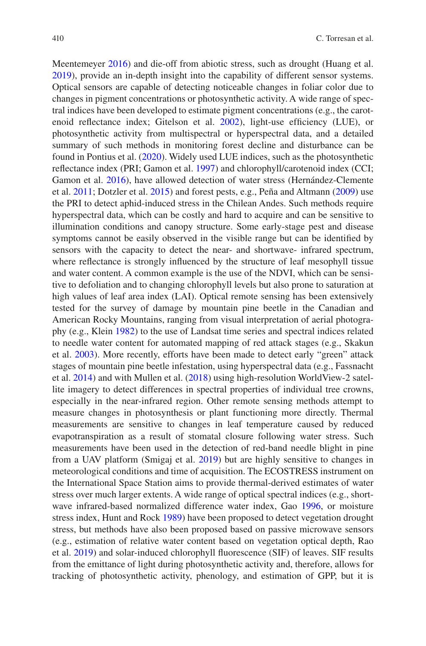Meentemeyer 2016) and die-off from abiotic stress, such as drought (Huang et al. 2019), provide an in-depth insight into the capability of different sensor systems. Optical sensors are capable of detecting noticeable changes in foliar color due to changes in pigment concentrations or photosynthetic activity. A wide range of spectral indices have been developed to estimate pigment concentrations (e.g., the carotenoid reflectance index; Gitelson et al. 2002), light-use efficiency (LUE), or photosynthetic activity from multispectral or hyperspectral data, and a detailed summary of such methods in monitoring forest decline and disturbance can be found in Pontius et al. (2020). Widely used LUE indices, such as the photosynthetic refectance index (PRI; Gamon et al. 1997) and chlorophyll/carotenoid index (CCI; Gamon et al. 2016), have allowed detection of water stress (Hernández-Clemente et al. 2011; Dotzler et al. 2015) and forest pests, e.g., Peña and Altmann (2009) use the PRI to detect aphid-induced stress in the Chilean Andes. Such methods require hyperspectral data, which can be costly and hard to acquire and can be sensitive to illumination conditions and canopy structure. Some early-stage pest and disease symptoms cannot be easily observed in the visible range but can be identifed by sensors with the capacity to detect the near- and shortwave- infrared spectrum, where refectance is strongly infuenced by the structure of leaf mesophyll tissue and water content. A common example is the use of the NDVI, which can be sensitive to defoliation and to changing chlorophyll levels but also prone to saturation at high values of leaf area index (LAI). Optical remote sensing has been extensively tested for the survey of damage by mountain pine beetle in the Canadian and American Rocky Mountains, ranging from visual interpretation of aerial photography (e.g., Klein 1982) to the use of Landsat time series and spectral indices related to needle water content for automated mapping of red attack stages (e.g., Skakun et al. 2003). More recently, efforts have been made to detect early "green" attack stages of mountain pine beetle infestation, using hyperspectral data (e.g., Fassnacht et al. 2014) and with Mullen et al. (2018) using high-resolution WorldView-2 satellite imagery to detect differences in spectral properties of individual tree crowns, especially in the near-infrared region. Other remote sensing methods attempt to measure changes in photosynthesis or plant functioning more directly. Thermal measurements are sensitive to changes in leaf temperature caused by reduced evapotranspiration as a result of stomatal closure following water stress. Such measurements have been used in the detection of red-band needle blight in pine from a UAV platform (Smigaj et al. 2019) but are highly sensitive to changes in meteorological conditions and time of acquisition. The ECOSTRESS instrument on the International Space Station aims to provide thermal-derived estimates of water stress over much larger extents. A wide range of optical spectral indices (e.g., shortwave infrared-based normalized difference water index, Gao 1996, or moisture stress index, Hunt and Rock 1989) have been proposed to detect vegetation drought stress, but methods have also been proposed based on passive microwave sensors (e.g., estimation of relative water content based on vegetation optical depth, Rao et al. 2019) and solar-induced chlorophyll fuorescence (SIF) of leaves. SIF results from the emittance of light during photosynthetic activity and, therefore, allows for tracking of photosynthetic activity, phenology, and estimation of GPP, but it is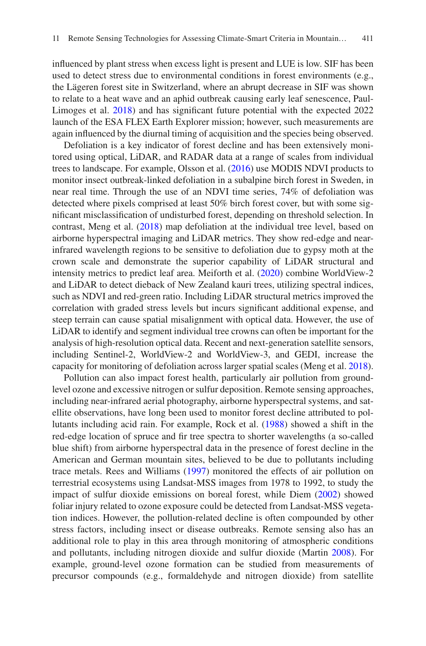infuenced by plant stress when excess light is present and LUE is low. SIF has been used to detect stress due to environmental conditions in forest environments (e.g., the Lägeren forest site in Switzerland, where an abrupt decrease in SIF was shown to relate to a heat wave and an aphid outbreak causing early leaf senescence, Paul-Limoges et al. 2018) and has signifcant future potential with the expected 2022 launch of the ESA FLEX Earth Explorer mission; however, such measurements are again infuenced by the diurnal timing of acquisition and the species being observed.

Defoliation is a key indicator of forest decline and has been extensively monitored using optical, LiDAR, and RADAR data at a range of scales from individual trees to landscape. For example, Olsson et al. (2016) use MODIS NDVI products to monitor insect outbreak-linked defoliation in a subalpine birch forest in Sweden, in near real time. Through the use of an NDVI time series, 74% of defoliation was detected where pixels comprised at least 50% birch forest cover, but with some signifcant misclassifcation of undisturbed forest, depending on threshold selection. In contrast, Meng et al. (2018) map defoliation at the individual tree level, based on airborne hyperspectral imaging and LiDAR metrics. They show red-edge and nearinfrared wavelength regions to be sensitive to defoliation due to gypsy moth at the crown scale and demonstrate the superior capability of LiDAR structural and intensity metrics to predict leaf area. Meiforth et al. (2020) combine WorldView-2 and LiDAR to detect dieback of New Zealand kauri trees, utilizing spectral indices, such as NDVI and red-green ratio. Including LiDAR structural metrics improved the correlation with graded stress levels but incurs signifcant additional expense, and steep terrain can cause spatial misalignment with optical data. However, the use of LiDAR to identify and segment individual tree crowns can often be important for the analysis of high-resolution optical data. Recent and next-generation satellite sensors, including Sentinel-2, WorldView-2 and WorldView-3, and GEDI, increase the capacity for monitoring of defoliation across larger spatial scales (Meng et al. 2018).

Pollution can also impact forest health, particularly air pollution from groundlevel ozone and excessive nitrogen or sulfur deposition. Remote sensing approaches, including near-infrared aerial photography, airborne hyperspectral systems, and satellite observations, have long been used to monitor forest decline attributed to pollutants including acid rain. For example, Rock et al. (1988) showed a shift in the red-edge location of spruce and fir tree spectra to shorter wavelengths (a so-called blue shift) from airborne hyperspectral data in the presence of forest decline in the American and German mountain sites, believed to be due to pollutants including trace metals. Rees and Williams (1997) monitored the effects of air pollution on terrestrial ecosystems using Landsat-MSS images from 1978 to 1992, to study the impact of sulfur dioxide emissions on boreal forest, while Diem (2002) showed foliar injury related to ozone exposure could be detected from Landsat-MSS vegetation indices. However, the pollution-related decline is often compounded by other stress factors, including insect or disease outbreaks. Remote sensing also has an additional role to play in this area through monitoring of atmospheric conditions and pollutants, including nitrogen dioxide and sulfur dioxide (Martin 2008). For example, ground-level ozone formation can be studied from measurements of precursor compounds (e.g., formaldehyde and nitrogen dioxide) from satellite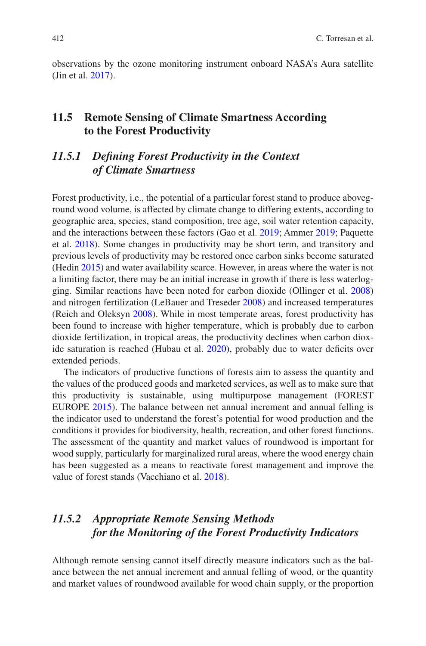observations by the ozone monitoring instrument onboard NASA's Aura satellite (Jin et al. 2017).

#### **11.5 Remote Sensing of Climate Smartness According to the Forest Productivity**

## *11.5.1 Defning Forest Productivity in the Context of Climate Smartness*

Forest productivity, i.e., the potential of a particular forest stand to produce aboveground wood volume, is affected by climate change to differing extents, according to geographic area, species, stand composition, tree age, soil water retention capacity, and the interactions between these factors (Gao et al. 2019; Ammer 2019; Paquette et al. 2018). Some changes in productivity may be short term, and transitory and previous levels of productivity may be restored once carbon sinks become saturated (Hedin 2015) and water availability scarce. However, in areas where the water is not a limiting factor, there may be an initial increase in growth if there is less waterlogging. Similar reactions have been noted for carbon dioxide (Ollinger et al. 2008) and nitrogen fertilization (LeBauer and Treseder 2008) and increased temperatures (Reich and Oleksyn 2008). While in most temperate areas, forest productivity has been found to increase with higher temperature, which is probably due to carbon dioxide fertilization, in tropical areas, the productivity declines when carbon dioxide saturation is reached (Hubau et al. 2020), probably due to water defcits over extended periods.

The indicators of productive functions of forests aim to assess the quantity and the values of the produced goods and marketed services, as well as to make sure that this productivity is sustainable, using multipurpose management (FOREST EUROPE 2015). The balance between net annual increment and annual felling is the indicator used to understand the forest's potential for wood production and the conditions it provides for biodiversity, health, recreation, and other forest functions. The assessment of the quantity and market values of roundwood is important for wood supply, particularly for marginalized rural areas, where the wood energy chain has been suggested as a means to reactivate forest management and improve the value of forest stands (Vacchiano et al. 2018).

## *11.5.2 Appropriate Remote Sensing Methods for the Monitoring of the Forest Productivity Indicators*

Although remote sensing cannot itself directly measure indicators such as the balance between the net annual increment and annual felling of wood, or the quantity and market values of roundwood available for wood chain supply, or the proportion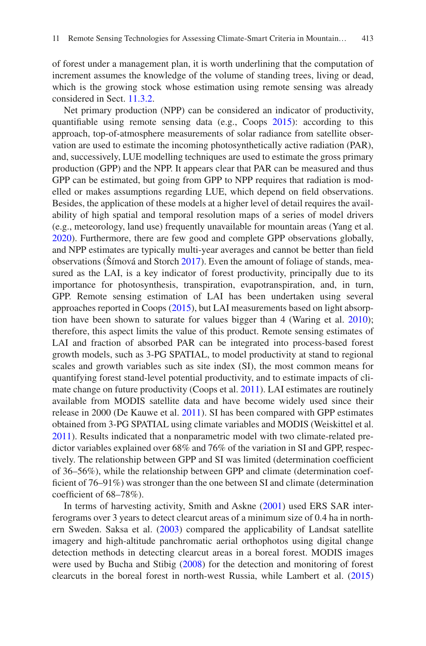of forest under a management plan, it is worth underlining that the computation of increment assumes the knowledge of the volume of standing trees, living or dead, which is the growing stock whose estimation using remote sensing was already considered in Sect. 11.3.2.

Net primary production (NPP) can be considered an indicator of productivity, quantifable using remote sensing data (e.g., Coops 2015): according to this approach, top-of-atmosphere measurements of solar radiance from satellite observation are used to estimate the incoming photosynthetically active radiation (PAR), and, successively, LUE modelling techniques are used to estimate the gross primary production (GPP) and the NPP. It appears clear that PAR can be measured and thus GPP can be estimated, but going from GPP to NPP requires that radiation is modelled or makes assumptions regarding LUE, which depend on feld observations. Besides, the application of these models at a higher level of detail requires the availability of high spatial and temporal resolution maps of a series of model drivers (e.g., meteorology, land use) frequently unavailable for mountain areas (Yang et al. 2020). Furthermore, there are few good and complete GPP observations globally, and NPP estimates are typically multi-year averages and cannot be better than feld observations (Šímová and Storch 2017). Even the amount of foliage of stands, measured as the LAI, is a key indicator of forest productivity, principally due to its importance for photosynthesis, transpiration, evapotranspiration, and, in turn, GPP. Remote sensing estimation of LAI has been undertaken using several approaches reported in Coops (2015), but LAI measurements based on light absorption have been shown to saturate for values bigger than 4 (Waring et al. 2010); therefore, this aspect limits the value of this product. Remote sensing estimates of LAI and fraction of absorbed PAR can be integrated into process-based forest growth models, such as 3-PG SPATIAL, to model productivity at stand to regional scales and growth variables such as site index (SI), the most common means for quantifying forest stand-level potential productivity, and to estimate impacts of climate change on future productivity (Coops et al. 2011). LAI estimates are routinely available from MODIS satellite data and have become widely used since their release in 2000 (De Kauwe et al. 2011). SI has been compared with GPP estimates obtained from 3-PG SPATIAL using climate variables and MODIS (Weiskittel et al. 2011). Results indicated that a nonparametric model with two climate-related predictor variables explained over 68% and 76% of the variation in SI and GPP, respectively. The relationship between GPP and SI was limited (determination coeffcient of 36–56%), while the relationship between GPP and climate (determination coefficient of  $76-91\%$ ) was stronger than the one between SI and climate (determination coefficient of  $68-78\%$ ).

In terms of harvesting activity, Smith and Askne (2001) used ERS SAR interferograms over 3 years to detect clearcut areas of a minimum size of 0.4 ha in northern Sweden. Saksa et al. (2003) compared the applicability of Landsat satellite imagery and high-altitude panchromatic aerial orthophotos using digital change detection methods in detecting clearcut areas in a boreal forest. MODIS images were used by Bucha and Stibig (2008) for the detection and monitoring of forest clearcuts in the boreal forest in north-west Russia, while Lambert et al. (2015)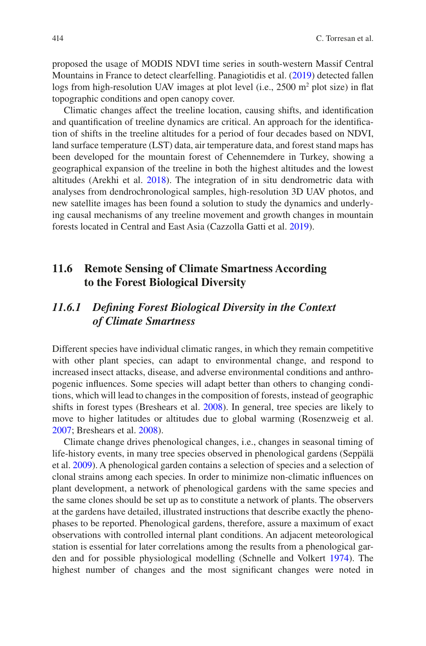proposed the usage of MODIS NDVI time series in south-western Massif Central Mountains in France to detect clearfelling. Panagiotidis et al. (2019) detected fallen logs from high-resolution UAV images at plot level (i.e., 2500 m<sup>2</sup> plot size) in flat topographic conditions and open canopy cover.

Climatic changes affect the treeline location, causing shifts, and identifcation and quantifcation of treeline dynamics are critical. An approach for the identifcation of shifts in the treeline altitudes for a period of four decades based on NDVI, land surface temperature (LST) data, air temperature data, and forest stand maps has been developed for the mountain forest of Cehennemdere in Turkey, showing a geographical expansion of the treeline in both the highest altitudes and the lowest altitudes (Arekhi et al. 2018). The integration of in situ dendrometric data with analyses from dendrochronological samples, high-resolution 3D UAV photos, and new satellite images has been found a solution to study the dynamics and underlying causal mechanisms of any treeline movement and growth changes in mountain forests located in Central and East Asia (Cazzolla Gatti et al. 2019).

## **11.6 Remote Sensing of Climate Smartness According to the Forest Biological Diversity**

#### *11.6.1 Defning Forest Biological Diversity in the Context of Climate Smartness*

Different species have individual climatic ranges, in which they remain competitive with other plant species, can adapt to environmental change, and respond to increased insect attacks, disease, and adverse environmental conditions and anthropogenic infuences. Some species will adapt better than others to changing conditions, which will lead to changes in the composition of forests, instead of geographic shifts in forest types (Breshears et al. 2008). In general, tree species are likely to move to higher latitudes or altitudes due to global warming (Rosenzweig et al. 2007; Breshears et al. 2008).

Climate change drives phenological changes, i.e., changes in seasonal timing of life-history events, in many tree species observed in phenological gardens (Seppälä et al. 2009). A phenological garden contains a selection of species and a selection of clonal strains among each species. In order to minimize non-climatic infuences on plant development, a network of phenological gardens with the same species and the same clones should be set up as to constitute a network of plants. The observers at the gardens have detailed, illustrated instructions that describe exactly the phenophases to be reported. Phenological gardens, therefore, assure a maximum of exact observations with controlled internal plant conditions. An adjacent meteorological station is essential for later correlations among the results from a phenological garden and for possible physiological modelling (Schnelle and Volkert 1974). The highest number of changes and the most signifcant changes were noted in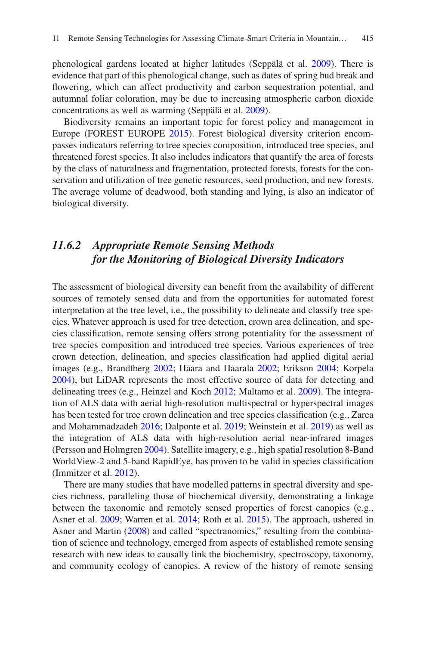phenological gardens located at higher latitudes (Seppälä et al. 2009). There is evidence that part of this phenological change, such as dates of spring bud break and fowering, which can affect productivity and carbon sequestration potential, and autumnal foliar coloration, may be due to increasing atmospheric carbon dioxide concentrations as well as warming (Seppälä et al. 2009).

Biodiversity remains an important topic for forest policy and management in Europe (FOREST EUROPE 2015). Forest biological diversity criterion encompasses indicators referring to tree species composition, introduced tree species, and threatened forest species. It also includes indicators that quantify the area of forests by the class of naturalness and fragmentation, protected forests, forests for the conservation and utilization of tree genetic resources, seed production, and new forests. The average volume of deadwood, both standing and lying, is also an indicator of biological diversity.

### *11.6.2 Appropriate Remote Sensing Methods for the Monitoring of Biological Diversity Indicators*

The assessment of biological diversity can beneft from the availability of different sources of remotely sensed data and from the opportunities for automated forest interpretation at the tree level, i.e., the possibility to delineate and classify tree species. Whatever approach is used for tree detection, crown area delineation, and species classifcation, remote sensing offers strong potentiality for the assessment of tree species composition and introduced tree species. Various experiences of tree crown detection, delineation, and species classifcation had applied digital aerial images (e.g., Brandtberg 2002; Haara and Haarala 2002; Erikson 2004; Korpela 2004), but LiDAR represents the most effective source of data for detecting and delineating trees (e.g., Heinzel and Koch 2012; Maltamo et al. 2009). The integration of ALS data with aerial high-resolution multispectral or hyperspectral images has been tested for tree crown delineation and tree species classifcation (e.g., Zarea and Mohammadzadeh 2016; Dalponte et al. 2019; Weinstein et al. 2019) as well as the integration of ALS data with high-resolution aerial near-infrared images (Persson and Holmgren 2004). Satellite imagery, e.g., high spatial resolution 8-Band WorldView-2 and 5-band RapidEye, has proven to be valid in species classifcation (Immitzer et al. 2012).

There are many studies that have modelled patterns in spectral diversity and species richness, paralleling those of biochemical diversity, demonstrating a linkage between the taxonomic and remotely sensed properties of forest canopies (e.g., Asner et al. 2009; Warren et al. 2014; Roth et al. 2015). The approach, ushered in Asner and Martin (2008) and called "spectranomics," resulting from the combination of science and technology, emerged from aspects of established remote sensing research with new ideas to causally link the biochemistry, spectroscopy, taxonomy, and community ecology of canopies. A review of the history of remote sensing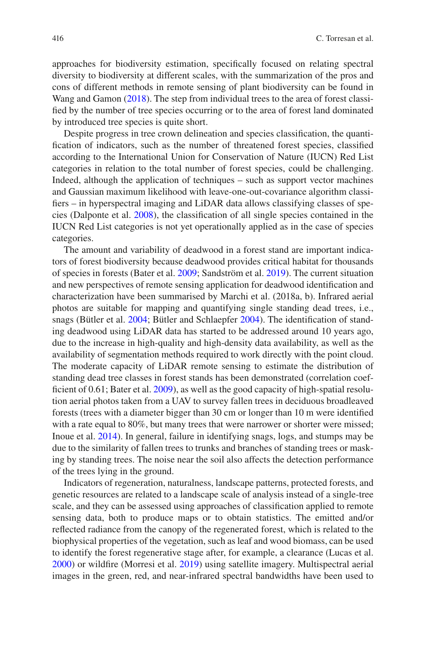approaches for biodiversity estimation, specifcally focused on relating spectral diversity to biodiversity at different scales, with the summarization of the pros and cons of different methods in remote sensing of plant biodiversity can be found in Wang and Gamon (2018). The step from individual trees to the area of forest classifed by the number of tree species occurring or to the area of forest land dominated by introduced tree species is quite short.

Despite progress in tree crown delineation and species classifcation, the quantifcation of indicators, such as the number of threatened forest species, classifed according to the International Union for Conservation of Nature (IUCN) Red List categories in relation to the total number of forest species, could be challenging. Indeed, although the application of techniques – such as support vector machines and Gaussian maximum likelihood with leave-one-out-covariance algorithm classifers – in hyperspectral imaging and LiDAR data allows classifying classes of species (Dalponte et al. 2008), the classifcation of all single species contained in the IUCN Red List categories is not yet operationally applied as in the case of species categories.

The amount and variability of deadwood in a forest stand are important indicators of forest biodiversity because deadwood provides critical habitat for thousands of species in forests (Bater et al. 2009; Sandström et al. 2019). The current situation and new perspectives of remote sensing application for deadwood identifcation and characterization have been summarised by Marchi et al. (2018a, b). Infrared aerial photos are suitable for mapping and quantifying single standing dead trees, i.e., snags (Bütler et al. 2004; Bütler and Schlaepfer 2004). The identifcation of standing deadwood using LiDAR data has started to be addressed around 10 years ago, due to the increase in high-quality and high-density data availability, as well as the availability of segmentation methods required to work directly with the point cloud. The moderate capacity of LiDAR remote sensing to estimate the distribution of standing dead tree classes in forest stands has been demonstrated (correlation coefficient of 0.61; Bater et al. 2009), as well as the good capacity of high-spatial resolution aerial photos taken from a UAV to survey fallen trees in deciduous broadleaved forests (trees with a diameter bigger than 30 cm or longer than 10 m were identifed with a rate equal to 80%, but many trees that were narrower or shorter were missed; Inoue et al. 2014). In general, failure in identifying snags, logs, and stumps may be due to the similarity of fallen trees to trunks and branches of standing trees or masking by standing trees. The noise near the soil also affects the detection performance of the trees lying in the ground.

Indicators of regeneration, naturalness, landscape patterns, protected forests, and genetic resources are related to a landscape scale of analysis instead of a single-tree scale, and they can be assessed using approaches of classifcation applied to remote sensing data, both to produce maps or to obtain statistics. The emitted and/or refected radiance from the canopy of the regenerated forest, which is related to the biophysical properties of the vegetation, such as leaf and wood biomass, can be used to identify the forest regenerative stage after, for example, a clearance (Lucas et al. 2000) or wildfre (Morresi et al. 2019) using satellite imagery. Multispectral aerial images in the green, red, and near-infrared spectral bandwidths have been used to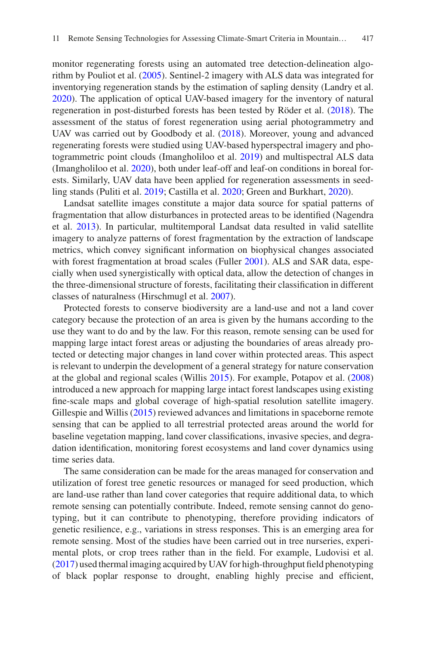monitor regenerating forests using an automated tree detection-delineation algorithm by Pouliot et al. (2005). Sentinel-2 imagery with ALS data was integrated for inventorying regeneration stands by the estimation of sapling density (Landry et al. 2020). The application of optical UAV-based imagery for the inventory of natural regeneration in post-disturbed forests has been tested by Röder et al. (2018). The assessment of the status of forest regeneration using aerial photogrammetry and UAV was carried out by Goodbody et al. (2018). Moreover, young and advanced regenerating forests were studied using UAV-based hyperspectral imagery and photogrammetric point clouds (Imangholiloo et al. 2019) and multispectral ALS data (Imangholiloo et al. 2020), both under leaf-off and leaf-on conditions in boreal forests. Similarly, UAV data have been applied for regeneration assessments in seedling stands (Puliti et al. 2019; Castilla et al. 2020; Green and Burkhart, 2020).

Landsat satellite images constitute a major data source for spatial patterns of fragmentation that allow disturbances in protected areas to be identifed (Nagendra et al. 2013). In particular, multitemporal Landsat data resulted in valid satellite imagery to analyze patterns of forest fragmentation by the extraction of landscape metrics, which convey signifcant information on biophysical changes associated with forest fragmentation at broad scales (Fuller 2001). ALS and SAR data, especially when used synergistically with optical data, allow the detection of changes in the three-dimensional structure of forests, facilitating their classifcation in different classes of naturalness (Hirschmugl et al. 2007).

Protected forests to conserve biodiversity are a land-use and not a land cover category because the protection of an area is given by the humans according to the use they want to do and by the law. For this reason, remote sensing can be used for mapping large intact forest areas or adjusting the boundaries of areas already protected or detecting major changes in land cover within protected areas. This aspect is relevant to underpin the development of a general strategy for nature conservation at the global and regional scales (Willis 2015). For example, Potapov et al. (2008) introduced a new approach for mapping large intact forest landscapes using existing fne-scale maps and global coverage of high-spatial resolution satellite imagery. Gillespie and Willis (2015) reviewed advances and limitations in spaceborne remote sensing that can be applied to all terrestrial protected areas around the world for baseline vegetation mapping, land cover classifcations, invasive species, and degradation identifcation, monitoring forest ecosystems and land cover dynamics using time series data.

The same consideration can be made for the areas managed for conservation and utilization of forest tree genetic resources or managed for seed production, which are land-use rather than land cover categories that require additional data, to which remote sensing can potentially contribute. Indeed, remote sensing cannot do genotyping, but it can contribute to phenotyping, therefore providing indicators of genetic resilience, e.g., variations in stress responses. This is an emerging area for remote sensing. Most of the studies have been carried out in tree nurseries, experimental plots, or crop trees rather than in the feld. For example, Ludovisi et al. (2017) used thermal imaging acquired by UAV for high-throughput feld phenotyping of black poplar response to drought, enabling highly precise and effcient,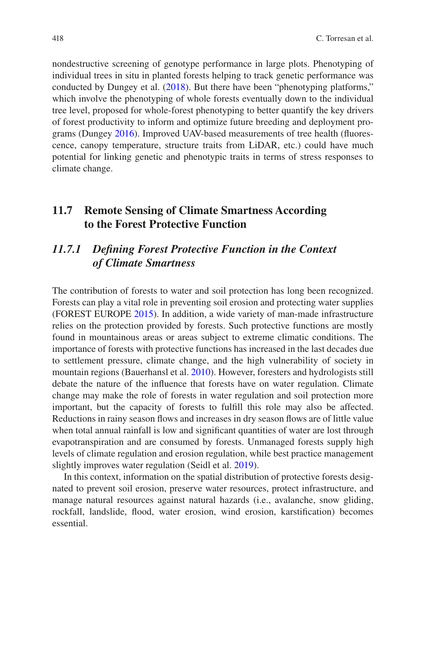nondestructive screening of genotype performance in large plots. Phenotyping of individual trees in situ in planted forests helping to track genetic performance was conducted by Dungey et al. (2018). But there have been "phenotyping platforms," which involve the phenotyping of whole forests eventually down to the individual tree level, proposed for whole-forest phenotyping to better quantify the key drivers of forest productivity to inform and optimize future breeding and deployment programs (Dungey 2016). Improved UAV-based measurements of tree health (fuorescence, canopy temperature, structure traits from LiDAR, etc.) could have much potential for linking genetic and phenotypic traits in terms of stress responses to climate change.

#### **11.7 Remote Sensing of Climate Smartness According to the Forest Protective Function**

#### *11.7.1 Defning Forest Protective Function in the Context of Climate Smartness*

The contribution of forests to water and soil protection has long been recognized. Forests can play a vital role in preventing soil erosion and protecting water supplies (FOREST EUROPE 2015). In addition, a wide variety of man-made infrastructure relies on the protection provided by forests. Such protective functions are mostly found in mountainous areas or areas subject to extreme climatic conditions. The importance of forests with protective functions has increased in the last decades due to settlement pressure, climate change, and the high vulnerability of society in mountain regions (Bauerhansl et al. 2010). However, foresters and hydrologists still debate the nature of the infuence that forests have on water regulation. Climate change may make the role of forests in water regulation and soil protection more important, but the capacity of forests to fulfll this role may also be affected. Reductions in rainy season fows and increases in dry season fows are of little value when total annual rainfall is low and signifcant quantities of water are lost through evapotranspiration and are consumed by forests. Unmanaged forests supply high levels of climate regulation and erosion regulation, while best practice management slightly improves water regulation (Seidl et al. 2019).

In this context, information on the spatial distribution of protective forests designated to prevent soil erosion, preserve water resources, protect infrastructure, and manage natural resources against natural hazards (i.e., avalanche, snow gliding, rockfall, landslide, food, water erosion, wind erosion, karstifcation) becomes essential.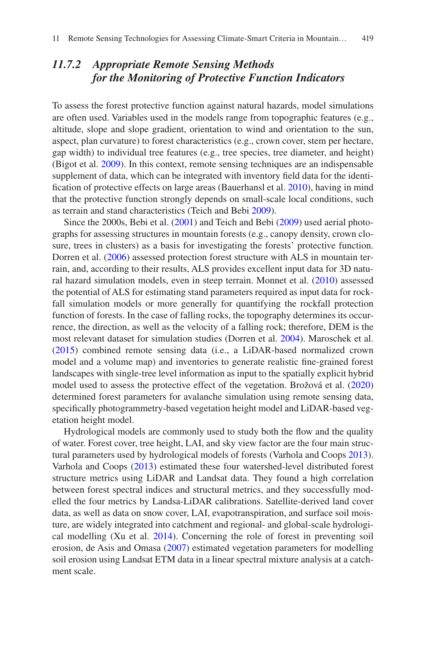## *11.7.2 Appropriate Remote Sensing Methods for the Monitoring of Protective Function Indicators*

To assess the forest protective function against natural hazards, model simulations are often used. Variables used in the models range from topographic features (e.g., altitude, slope and slope gradient, orientation to wind and orientation to the sun, aspect, plan curvature) to forest characteristics (e.g., crown cover, stem per hectare, gap width) to individual tree features (e.g., tree species, tree diameter, and height) (Bigot et al. 2009). In this context, remote sensing techniques are an indispensable supplement of data, which can be integrated with inventory feld data for the identifcation of protective effects on large areas (Bauerhansl et al. 2010), having in mind that the protective function strongly depends on small-scale local conditions, such as terrain and stand characteristics (Teich and Bebi 2009).

Since the 2000s, Bebi et al. (2001) and Teich and Bebi (2009) used aerial photographs for assessing structures in mountain forests (e.g., canopy density, crown closure, trees in clusters) as a basis for investigating the forests' protective function. Dorren et al. (2006) assessed protection forest structure with ALS in mountain terrain, and, according to their results, ALS provides excellent input data for 3D natural hazard simulation models, even in steep terrain. Monnet et al. (2010) assessed the potential of ALS for estimating stand parameters required as input data for rockfall simulation models or more generally for quantifying the rockfall protection function of forests. In the case of falling rocks, the topography determines its occurrence, the direction, as well as the velocity of a falling rock; therefore, DEM is the most relevant dataset for simulation studies (Dorren et al. 2004). Maroschek et al. (2015) combined remote sensing data (i.e., a LiDAR-based normalized crown model and a volume map) and inventories to generate realistic fne-grained forest landscapes with single-tree level information as input to the spatially explicit hybrid model used to assess the protective effect of the vegetation. Brožová et al. (2020) determined forest parameters for avalanche simulation using remote sensing data, specifcally photogrammetry-based vegetation height model and LiDAR-based vegetation height model.

Hydrological models are commonly used to study both the fow and the quality of water. Forest cover, tree height, LAI, and sky view factor are the four main structural parameters used by hydrological models of forests (Varhola and Coops 2013). Varhola and Coops (2013) estimated these four watershed-level distributed forest structure metrics using LiDAR and Landsat data. They found a high correlation between forest spectral indices and structural metrics, and they successfully modelled the four metrics by Landsa-LiDAR calibrations. Satellite-derived land cover data, as well as data on snow cover, LAI, evapotranspiration, and surface soil moisture, are widely integrated into catchment and regional- and global-scale hydrological modelling (Xu et al. 2014). Concerning the role of forest in preventing soil erosion, de Asis and Omasa (2007) estimated vegetation parameters for modelling soil erosion using Landsat ETM data in a linear spectral mixture analysis at a catchment scale.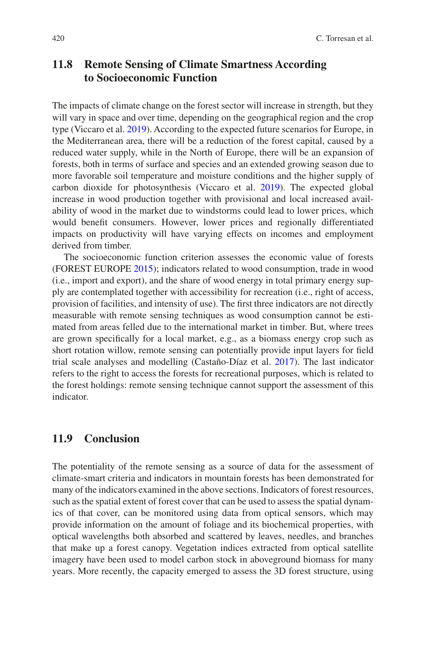## **11.8 Remote Sensing of Climate Smartness According to Socioeconomic Function**

The impacts of climate change on the forest sector will increase in strength, but they will vary in space and over time, depending on the geographical region and the crop type (Viccaro et al. 2019). According to the expected future scenarios for Europe, in the Mediterranean area, there will be a reduction of the forest capital, caused by a reduced water supply, while in the North of Europe, there will be an expansion of forests, both in terms of surface and species and an extended growing season due to more favorable soil temperature and moisture conditions and the higher supply of carbon dioxide for photosynthesis (Viccaro et al. 2019). The expected global increase in wood production together with provisional and local increased availability of wood in the market due to windstorms could lead to lower prices, which would beneft consumers. However, lower prices and regionally differentiated impacts on productivity will have varying effects on incomes and employment derived from timber.

The socioeconomic function criterion assesses the economic value of forests (FOREST EUROPE 2015); indicators related to wood consumption, trade in wood (i.e., import and export), and the share of wood energy in total primary energy supply are contemplated together with accessibility for recreation (i.e., right of access, provision of facilities, and intensity of use). The frst three indicators are not directly measurable with remote sensing techniques as wood consumption cannot be estimated from areas felled due to the international market in timber. But, where trees are grown specifcally for a local market, e.g., as a biomass energy crop such as short rotation willow, remote sensing can potentially provide input layers for feld trial scale analyses and modelling (Castaño-Díaz et al. 2017). The last indicator refers to the right to access the forests for recreational purposes, which is related to the forest holdings: remote sensing technique cannot support the assessment of this indicator.

#### **11.9 Conclusion**

The potentiality of the remote sensing as a source of data for the assessment of climate-smart criteria and indicators in mountain forests has been demonstrated for many of the indicators examined in the above sections. Indicators of forest resources, such as the spatial extent of forest cover that can be used to assess the spatial dynamics of that cover, can be monitored using data from optical sensors, which may provide information on the amount of foliage and its biochemical properties, with optical wavelengths both absorbed and scattered by leaves, needles, and branches that make up a forest canopy. Vegetation indices extracted from optical satellite imagery have been used to model carbon stock in aboveground biomass for many years. More recently, the capacity emerged to assess the 3D forest structure, using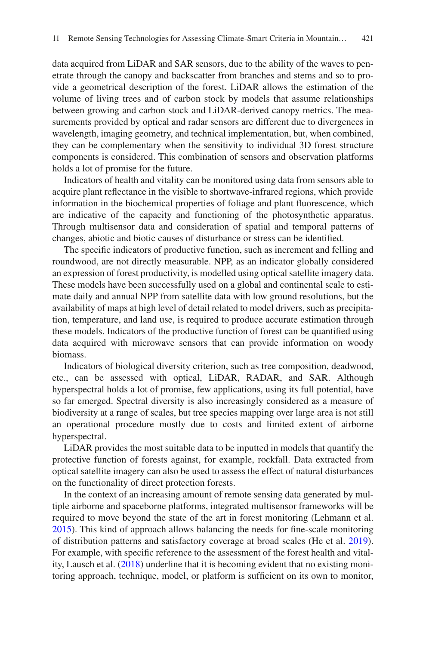data acquired from LiDAR and SAR sensors, due to the ability of the waves to penetrate through the canopy and backscatter from branches and stems and so to provide a geometrical description of the forest. LiDAR allows the estimation of the volume of living trees and of carbon stock by models that assume relationships between growing and carbon stock and LiDAR-derived canopy metrics. The measurements provided by optical and radar sensors are different due to divergences in wavelength, imaging geometry, and technical implementation, but, when combined, they can be complementary when the sensitivity to individual 3D forest structure components is considered. This combination of sensors and observation platforms holds a lot of promise for the future.

Indicators of health and vitality can be monitored using data from sensors able to acquire plant refectance in the visible to shortwave-infrared regions, which provide information in the biochemical properties of foliage and plant fuorescence, which are indicative of the capacity and functioning of the photosynthetic apparatus. Through multisensor data and consideration of spatial and temporal patterns of changes, abiotic and biotic causes of disturbance or stress can be identifed.

The specifc indicators of productive function, such as increment and felling and roundwood, are not directly measurable. NPP, as an indicator globally considered an expression of forest productivity, is modelled using optical satellite imagery data. These models have been successfully used on a global and continental scale to estimate daily and annual NPP from satellite data with low ground resolutions, but the availability of maps at high level of detail related to model drivers, such as precipitation, temperature, and land use, is required to produce accurate estimation through these models. Indicators of the productive function of forest can be quantifed using data acquired with microwave sensors that can provide information on woody biomass.

Indicators of biological diversity criterion, such as tree composition, deadwood, etc., can be assessed with optical, LiDAR, RADAR, and SAR. Although hyperspectral holds a lot of promise, few applications, using its full potential, have so far emerged. Spectral diversity is also increasingly considered as a measure of biodiversity at a range of scales, but tree species mapping over large area is not still an operational procedure mostly due to costs and limited extent of airborne hyperspectral.

LiDAR provides the most suitable data to be inputted in models that quantify the protective function of forests against, for example, rockfall. Data extracted from optical satellite imagery can also be used to assess the effect of natural disturbances on the functionality of direct protection forests.

In the context of an increasing amount of remote sensing data generated by multiple airborne and spaceborne platforms, integrated multisensor frameworks will be required to move beyond the state of the art in forest monitoring (Lehmann et al. 2015). This kind of approach allows balancing the needs for fne-scale monitoring of distribution patterns and satisfactory coverage at broad scales (He et al. 2019). For example, with specifc reference to the assessment of the forest health and vitality, Lausch et al. (2018) underline that it is becoming evident that no existing monitoring approach, technique, model, or platform is sufficient on its own to monitor,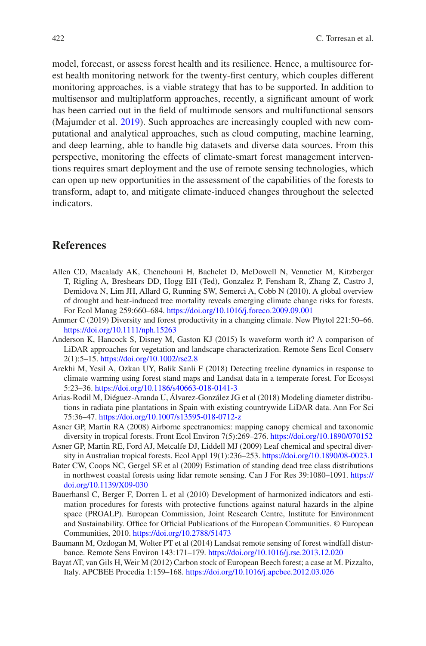model, forecast, or assess forest health and its resilience. Hence, a multisource forest health monitoring network for the twenty-frst century, which couples different monitoring approaches, is a viable strategy that has to be supported. In addition to multisensor and multiplatform approaches, recently, a signifcant amount of work has been carried out in the feld of multimode sensors and multifunctional sensors (Majumder et al. 2019). Such approaches are increasingly coupled with new computational and analytical approaches, such as cloud computing, machine learning, and deep learning, able to handle big datasets and diverse data sources. From this perspective, monitoring the effects of climate-smart forest management interventions requires smart deployment and the use of remote sensing technologies, which can open up new opportunities in the assessment of the capabilities of the forests to transform, adapt to, and mitigate climate-induced changes throughout the selected indicators.

#### **References**

- Allen CD, Macalady AK, Chenchouni H, Bachelet D, McDowell N, Vennetier M, Kitzberger T, Rigling A, Breshears DD, Hogg EH (Ted), Gonzalez P, Fensham R, Zhang Z, Castro J, Demidova N, Lim JH, Allard G, Running SW, Semerci A, Cobb N (2010). A global overview of drought and heat-induced tree mortality reveals emerging climate change risks for forests. For Ecol Manag 259:660–684.<https://doi.org/10.1016/j.foreco.2009.09.001>
- Ammer C (2019) Diversity and forest productivity in a changing climate. New Phytol 221:50–66. <https://doi.org/10.1111/nph.15263>
- Anderson K, Hancock S, Disney M, Gaston KJ (2015) Is waveform worth it? A comparison of LiDAR approaches for vegetation and landscape characterization. Remote Sens Ecol Conserv 2(1):5–15. <https://doi.org/10.1002/rse2.8>
- Arekhi M, Yesil A, Ozkan UY, Balik Sanli F (2018) Detecting treeline dynamics in response to climate warming using forest stand maps and Landsat data in a temperate forest. For Ecosyst 5:23–36. <https://doi.org/10.1186/s40663-018-0141-3>
- Arias-Rodil M, Diéguez-Aranda U, Álvarez-González JG et al (2018) Modeling diameter distributions in radiata pine plantations in Spain with existing countrywide LiDAR data. Ann For Sci 75:36–47.<https://doi.org/10.1007/s13595-018-0712-z>
- Asner GP, Martin RA (2008) Airborne spectranomics: mapping canopy chemical and taxonomic diversity in tropical forests. Front Ecol Environ 7(5):269-276.<https://doi.org/10.1890/070152>
- Asner GP, Martin RE, Ford AJ, Metcalfe DJ, Liddell MJ (2009) Leaf chemical and spectral diversity in Australian tropical forests. Ecol Appl 19(1):236–253. <https://doi.org/10.1890/08-0023.1>
- Bater CW, Coops NC, Gergel SE et al (2009) Estimation of standing dead tree class distributions in northwest coastal forests using lidar remote sensing. Can J For Res 39:1080–1091. [https://](https://doi.org/10.1139/X09-030) [doi.org/10.1139/X09-030](https://doi.org/10.1139/X09-030)
- Bauerhansl C, Berger F, Dorren L et al (2010) Development of harmonized indicators and estimation procedures for forests with protective functions against natural hazards in the alpine space (PROALP). European Commission, Joint Research Centre, Institute for Environment and Sustainability. Office for Official Publications of the European Communities. © European Communities, 2010.<https://doi.org/10.2788/51473>
- Baumann M, Ozdogan M, Wolter PT et al (2014) Landsat remote sensing of forest windfall disturbance. Remote Sens Environ 143:171–179. <https://doi.org/10.1016/j.rse.2013.12.020>
- Bayat AT, van Gils H, Weir M (2012) Carbon stock of European Beech forest; a case at M. Pizzalto, Italy. APCBEE Procedia 1:159–168. <https://doi.org/10.1016/j.apcbee.2012.03.026>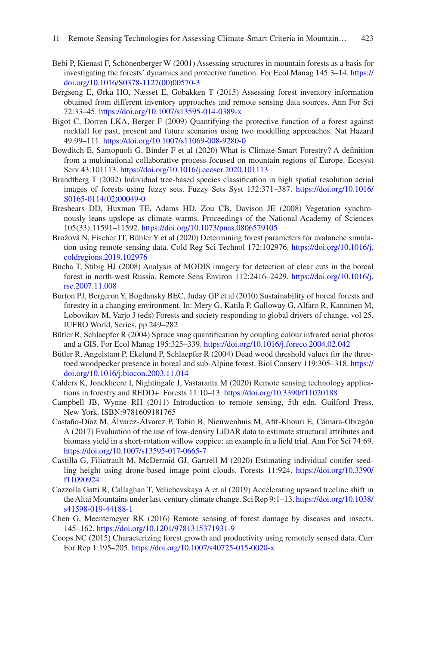- Bebi P, Kienast F, Schönenberger W (2001) Assessing structures in mountain forests as a basis for investigating the forests' dynamics and protective function. For Ecol Manag 145:3–14. [https://](https://doi.org/10.1016/S0378-1127(00)00570-3) [doi.org/10.1016/S0378-1127\(00\)00570-3](https://doi.org/10.1016/S0378-1127(00)00570-3)
- Bergseng E, Ørka HO, Næsset E, Gobakken T (2015) Assessing forest inventory information obtained from different inventory approaches and remote sensing data sources. Ann For Sci 72:33–45.<https://doi.org/10.1007/s13595-014-0389-x>
- Bigot C, Dorren LKA, Berger F (2009) Quantifying the protective function of a forest against rockfall for past, present and future scenarios using two modelling approaches. Nat Hazard 49:99–111.<https://doi.org/10.1007/s11069-008-9280-0>
- Bowditch E, Santopuoli G, Binder F et al (2020) What is Climate-Smart Forestry? A defnition from a multinational collaborative process focused on mountain regions of Europe. Ecosyst Serv 43:101113.<https://doi.org/10.1016/j.ecoser.2020.101113>
- Brandtberg T (2002) Individual tree-based species classifcation in high spatial resolution aerial images of forests using fuzzy sets. Fuzzy Sets Syst 132:371–387. [https://doi.org/10.1016/](https://doi.org/10.1016/S0165-0114(02)00049-0) [S0165-0114\(02\)00049-0](https://doi.org/10.1016/S0165-0114(02)00049-0)
- Breshears DD, Huxman TE, Adams HD, Zou CB, Davison JE (2008) Vegetation synchronously leans upslope as climate warms. Proceedings of the National Academy of Sciences 105(33):11591–11592.<https://doi.org/10.1073/pnas.0806579105>
- Brožová N, Fischer JT, Bühler Y et al (2020) Determining forest parameters for avalanche simulation using remote sensing data. Cold Reg Sci Technol 172:102976. [https://doi.org/10.1016/j.](https://doi.org/10.1016/j.coldregions.2019.102976) [coldregions.2019.102976](https://doi.org/10.1016/j.coldregions.2019.102976)
- Bucha T, Stibig HJ (2008) Analysis of MODIS imagery for detection of clear cuts in the boreal forest in north-west Russia. Remote Sens Environ 112:2416–2429. [https://doi.org/10.1016/j.](https://doi.org/10.1016/j.rse.2007.11.008) [rse.2007.11.008](https://doi.org/10.1016/j.rse.2007.11.008)
- Burton PJ, Bergeron Y, Bogdansky BEC, Juday GP et al (2010) Sustainability of boreal forests and forestry in a changing environment. In: Mery G, Katila P, Galloway G, Alfaro R, Kanninen M, Lobovikov M, Varjo J (eds) Forests and society responding to global drivers of change, vol 25. IUFRO World, Series, pp 249–282
- Bütler R, Schlaepfer R (2004) Spruce snag quantifcation by coupling colour infrared aerial photos and a GIS. For Ecol Manag 195:325–339.<https://doi.org/10.1016/j.foreco.2004.02.042>
- Bütler R, Angelstam P, Ekelund P, Schlaepfer R (2004) Dead wood threshold values for the threetoed woodpecker presence in boreal and sub-Alpine forest. Biol Conserv 119:305–318. [https://](https://doi.org/10.1016/j.biocon.2003.11.014) [doi.org/10.1016/j.biocon.2003.11.014](https://doi.org/10.1016/j.biocon.2003.11.014)
- Calders K, Jonckheere I, Nightingale J, Vastaranta M (2020) Remote sensing technology applications in forestry and REDD+. Forests 11:10–13.<https://doi.org/10.3390/f11020188>
- Campbell JB, Wynne RH (2011) Introduction to remote sensing, 5th edn. Guilford Press, New York. ISBN:9781609181765
- Castaño-Díaz M, Álvarez-Álvarez P, Tobin B, Nieuwenhuis M, Aff-Khouri E, Cámara-Obregón A (2017) Evaluation of the use of low-density LiDAR data to estimate structural attributes and biomass yield in a short-rotation willow coppice: an example in a feld trial. Ann For Sci 74:69. <https://doi.org/10.1007/s13595-017-0665-7>
- Castilla G, Filiatrault M, McDermid GJ, Gartrell M (2020) Estimating individual conifer seedling height using drone-based image point clouds. Forests 11:924. [https://doi.org/10.3390/](https://doi.org/10.3390/f11090924) [f11090924](https://doi.org/10.3390/f11090924)
- Cazzolla Gatti R, Callaghan T, Velichevskaya A et al (2019) Accelerating upward treeline shift in the Altai Mountains under last-century climate change. Sci Rep 9:1–13. [https://doi.org/10.1038/](https://doi.org/10.1038/s41598-019-44188-1) [s41598-019-44188-1](https://doi.org/10.1038/s41598-019-44188-1)
- Chen G, Meentemeyer RK (2016) Remote sensing of forest damage by diseases and insects. 145–162. <https://doi.org/10.1201/9781315371931-9>
- Coops NC (2015) Characterizing forest growth and productivity using remotely sensed data. Curr For Rep 1:195–205.<https://doi.org/10.1007/s40725-015-0020-x>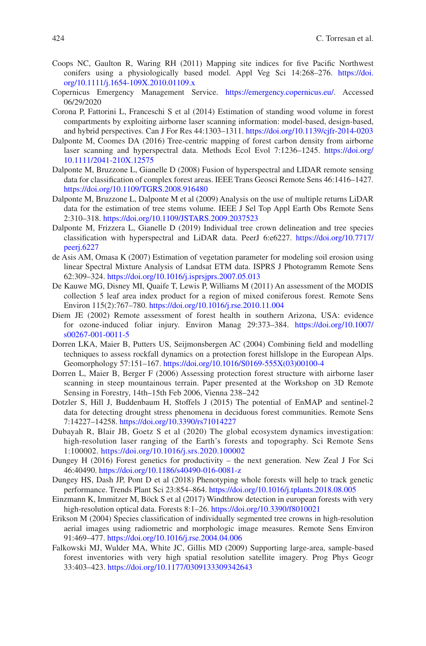- Coops NC, Gaulton R, Waring RH (2011) Mapping site indices for fve Pacifc Northwest conifers using a physiologically based model. Appl Veg Sci 14:268–276. [https://doi.](https://doi.org/10.1111/j.1654-109X.2010.01109.x) [org/10.1111/j.1654-109X.2010.01109.x](https://doi.org/10.1111/j.1654-109X.2010.01109.x)
- Copernicus Emergency Management Service. <https://emergency.copernicus.eu/>. Accessed 06/29/2020
- Corona P, Fattorini L, Franceschi S et al (2014) Estimation of standing wood volume in forest compartments by exploiting airborne laser scanning information: model-based, design-based, and hybrid perspectives. Can J For Res 44:1303–1311. <https://doi.org/10.1139/cjfr-2014-0203>
- Dalponte M, Coomes DA (2016) Tree-centric mapping of forest carbon density from airborne laser scanning and hyperspectral data. Methods Ecol Evol 7:1236–1245. [https://doi.org/](https://doi.org/10.1111/2041-210X.12575) [10.1111/2041-210X.12575](https://doi.org/10.1111/2041-210X.12575)
- Dalponte M, Bruzzone L, Gianelle D (2008) Fusion of hyperspectral and LIDAR remote sensing data for classifcation of complex forest areas. IEEE Trans Geosci Remote Sens 46:1416–1427. <https://doi.org/10.1109/TGRS.2008.916480>
- Dalponte M, Bruzzone L, Dalponte M et al (2009) Analysis on the use of multiple returns LiDAR data for the estimation of tree stems volume. IEEE J Sel Top Appl Earth Obs Remote Sens 2:310–318.<https://doi.org/10.1109/JSTARS.2009.2037523>
- Dalponte M, Frizzera L, Gianelle D (2019) Individual tree crown delineation and tree species classifcation with hyperspectral and LiDAR data. PeerJ 6:e6227. [https://doi.org/10.7717/](https://doi.org/10.7717/peerj.6227) [peerj.6227](https://doi.org/10.7717/peerj.6227)
- de Asis AM, Omasa K (2007) Estimation of vegetation parameter for modeling soil erosion using linear Spectral Mixture Analysis of Landsat ETM data. ISPRS J Photogramm Remote Sens 62:309–324. <https://doi.org/10.1016/j.isprsjprs.2007.05.013>
- De Kauwe MG, Disney MI, Quaife T, Lewis P, Williams M (2011) An assessment of the MODIS collection 5 leaf area index product for a region of mixed coniferous forest. Remote Sens Environ 115(2):767–780.<https://doi.org/10.1016/j.rse.2010.11.004>
- Diem JE (2002) Remote assessment of forest health in southern Arizona, USA: evidence for ozone-induced foliar injury. Environ Manag 29:373–384. [https://doi.org/10.1007/](https://doi.org/10.1007/s00267-001-0011-5) [s00267-001-0011-5](https://doi.org/10.1007/s00267-001-0011-5)
- Dorren LKA, Maier B, Putters US, Seijmonsbergen AC (2004) Combining feld and modelling techniques to assess rockfall dynamics on a protection forest hillslope in the European Alps. Geomorphology 57:151–167. [https://doi.org/10.1016/S0169-555X\(03\)00100-4](https://doi.org/10.1016/S0169-555X(03)00100-4)
- Dorren L, Maier B, Berger F (2006) Assessing protection forest structure with airborne laser scanning in steep mountainous terrain. Paper presented at the Workshop on 3D Remote Sensing in Forestry, 14th–15th Feb 2006, Vienna 238–242
- Dotzler S, Hill J, Buddenbaum H, Stoffels J (2015) The potential of EnMAP and sentinel-2 data for detecting drought stress phenomena in deciduous forest communities. Remote Sens 7:14227–14258.<https://doi.org/10.3390/rs71014227>
- Dubayah R, Blair JB, Goetz S et al (2020) The global ecosystem dynamics investigation: high-resolution laser ranging of the Earth's forests and topography. Sci Remote Sens 1:100002. <https://doi.org/10.1016/j.srs.2020.100002>
- Dungey H (2016) Forest genetics for productivity the next generation. New Zeal J For Sci 46:40490.<https://doi.org/10.1186/s40490-016-0081-z>
- Dungey HS, Dash JP, Pont D et al (2018) Phenotyping whole forests will help to track genetic performance. Trends Plant Sci 23:854–864. <https://doi.org/10.1016/j.tplants.2018.08.005>
- Einzmann K, Immitzer M, Böck S et al (2017) Windthrow detection in european forests with very high-resolution optical data. Forests 8:1-26.<https://doi.org/10.3390/f8010021>
- Erikson M (2004) Species classifcation of individually segmented tree crowns in high-resolution aerial images using radiometric and morphologic image measures. Remote Sens Environ 91:469–477. <https://doi.org/10.1016/j.rse.2004.04.006>
- Falkowski MJ, Wulder MA, White JC, Gillis MD (2009) Supporting large-area, sample-based forest inventories with very high spatial resolution satellite imagery. Prog Phys Geogr 33:403–423.<https://doi.org/10.1177/0309133309342643>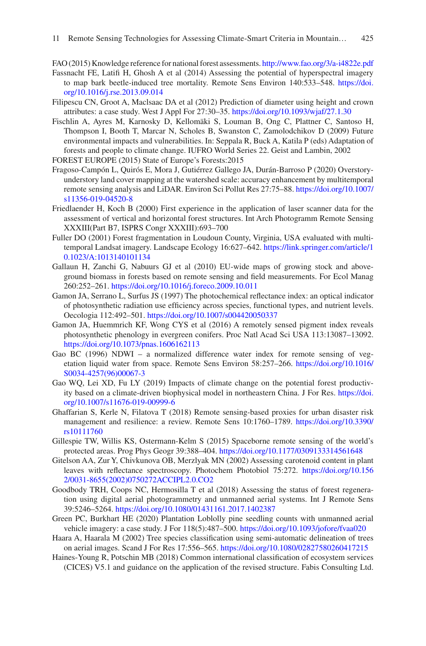FAO (2015) Knowledge reference for national forest assessments.<http://www.fao.org/3/a-i4822e.pdf>

- Fassnacht FE, Latif H, Ghosh A et al (2014) Assessing the potential of hyperspectral imagery to map bark beetle-induced tree mortality. Remote Sens Environ 140:533–548. [https://doi.](https://doi.org/10.1016/j.rse.2013.09.014) [org/10.1016/j.rse.2013.09.014](https://doi.org/10.1016/j.rse.2013.09.014)
- Filipescu CN, Groot A, Maclsaac DA et al (2012) Prediction of diameter using height and crown attributes: a case study. West J Appl For 27:30–35.<https://doi.org/10.1093/wjaf/27.1.30>
- Fischlin A, Ayres M, Karnosky D, Kellomäki S, Louman B, Ong C, Plattner C, Santoso H, Thompson I, Booth T, Marcar N, Scholes B, Swanston C, Zamolodchikov D (2009) Future environmental impacts and vulnerabilities. In: Seppala R, Buck A, Katila P (eds) Adaptation of forests and people to climate change. IUFRO World Series 22. Geist and Lambin, 2002
- FOREST EUROPE (2015) State of Europe's Forests:2015
- Fragoso-Campón L, Quirós E, Mora J, Gutiérrez Gallego JA, Durán-Barroso P (2020) Overstoryunderstory land cover mapping at the watershed scale: accuracy enhancement by multitemporal remote sensing analysis and LiDAR. Environ Sci Pollut Res 27:75–88. [https://doi.org/10.1007/](https://doi.org/10.1007/s11356-019-04520-8) [s11356-019-04520-8](https://doi.org/10.1007/s11356-019-04520-8)
- Friedlaender H, Koch B (2000) First experience in the application of laser scanner data for the assessment of vertical and horizontal forest structures. Int Arch Photogramm Remote Sensing XXXIII(Part B7, ISPRS Congr XXXIII):693–700
- Fuller DO (2001) Forest fragmentation in Loudoun County, Virginia, USA evaluated with multitemporal Landsat imagery. Landscape Ecology 16:627–642. [https://link.springer.com/article/1](https://link.springer.com/article/10.1023/A:1013140101134) [0.1023/A:1013140101134](https://link.springer.com/article/10.1023/A:1013140101134)
- Gallaun H, Zanchi G, Nabuurs GJ et al (2010) EU-wide maps of growing stock and aboveground biomass in forests based on remote sensing and feld measurements. For Ecol Manag 260:252–261. <https://doi.org/10.1016/j.foreco.2009.10.011>
- Gamon JA, Serrano L, Surfus JS (1997) The photochemical refectance index: an optical indicator of photosynthetic radiation use effciency across species, functional types, and nutrient levels. Oecologia 112:492–501.<https://doi.org/10.1007/s004420050337>
- Gamon JA, Huemmrich KF, Wong CYS et al (2016) A remotely sensed pigment index reveals photosynthetic phenology in evergreen conifers. Proc Natl Acad Sci USA 113:13087–13092. <https://doi.org/10.1073/pnas.1606162113>
- Gao BC (1996) NDWI a normalized difference water index for remote sensing of vegetation liquid water from space. Remote Sens Environ 58:257–266. [https://doi.org/10.1016/](https://doi.org/10.1016/S0034-4257(96)00067-3) [S0034-4257\(96\)00067-3](https://doi.org/10.1016/S0034-4257(96)00067-3)
- Gao WQ, Lei XD, Fu LY (2019) Impacts of climate change on the potential forest productivity based on a climate-driven biophysical model in northeastern China. J For Res. [https://doi.](https://doi.org/10.1007/s11676-019-00999-6) [org/10.1007/s11676-019-00999-6](https://doi.org/10.1007/s11676-019-00999-6)
- Ghaffarian S, Kerle N, Filatova T (2018) Remote sensing-based proxies for urban disaster risk management and resilience: a review. Remote Sens 10:1760–1789. [https://doi.org/10.3390/](https://doi.org/10.3390/rs10111760) [rs10111760](https://doi.org/10.3390/rs10111760)
- Gillespie TW, Willis KS, Ostermann-Kelm S (2015) Spaceborne remote sensing of the world's protected areas. Prog Phys Geogr 39:388–404.<https://doi.org/10.1177/0309133314561648>
- Gitelson AA, Zur Y, Chivkunova OB, Merzlyak MN (2002) Assessing carotenoid content in plant leaves with refectance spectroscopy. Photochem Photobiol 75:272. [https://doi.org/10.156](https://doi.org/10.1562/0031-8655(2002)0750272ACCIPL2.0.CO2) [2/0031-8655\(2002\)0750272ACCIPL2.0.CO2](https://doi.org/10.1562/0031-8655(2002)0750272ACCIPL2.0.CO2)
- Goodbody TRH, Coops NC, Hermosilla T et al (2018) Assessing the status of forest regeneration using digital aerial photogrammetry and unmanned aerial systems. Int J Remote Sens 39:5246–5264.<https://doi.org/10.1080/01431161.2017.1402387>
- Green PC, Burkhart HE (2020) Plantation Loblolly pine seedling counts with unmanned aerial vehicle imagery: a case study. J For 118(5):487–500. <https://doi.org/10.1093/jofore/fvaa020>
- Haara A, Haarala M (2002) Tree species classifcation using semi-automatic delineation of trees on aerial images. Scand J For Res 17:556–565. <https://doi.org/10.1080/02827580260417215>
- Haines-Young R, Potschin MB (2018) Common international classifcation of ecosystem services (CICES) V5.1 and guidance on the application of the revised structure. Fabis Consulting Ltd.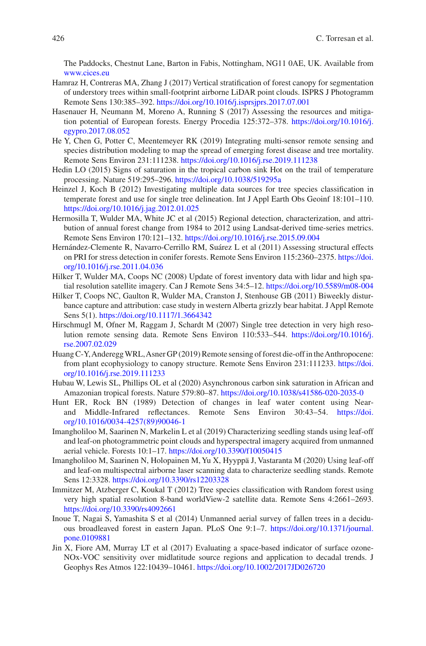The Paddocks, Chestnut Lane, Barton in Fabis, Nottingham, NG11 0AE, UK. Available from [www.cices.eu](http://www.cices.eu)

- Hamraz H, Contreras MA, Zhang J (2017) Vertical stratifcation of forest canopy for segmentation of understory trees within small-footprint airborne LiDAR point clouds. ISPRS J Photogramm Remote Sens 130:385–392. <https://doi.org/10.1016/j.isprsjprs.2017.07.001>
- Hasenauer H, Neumann M, Moreno A, Running S (2017) Assessing the resources and mitigation potential of European forests. Energy Procedia 125:372–378. [https://doi.org/10.1016/j.](https://doi.org/10.1016/j.egypro.2017.08.052) [egypro.2017.08.052](https://doi.org/10.1016/j.egypro.2017.08.052)
- He Y, Chen G, Potter C, Meentemeyer RK (2019) Integrating multi-sensor remote sensing and species distribution modeling to map the spread of emerging forest disease and tree mortality. Remote Sens Environ 231:111238. <https://doi.org/10.1016/j.rse.2019.111238>
- Hedin LO (2015) Signs of saturation in the tropical carbon sink Hot on the trail of temperature processing. Nature 519:295–296. <https://doi.org/10.1038/519295a>
- Heinzel J, Koch B (2012) Investigating multiple data sources for tree species classifcation in temperate forest and use for single tree delineation. Int J Appl Earth Obs Geoinf 18:101–110. <https://doi.org/10.1016/j.jag.2012.01.025>
- Hermosilla T, Wulder MA, White JC et al (2015) Regional detection, characterization, and attribution of annual forest change from 1984 to 2012 using Landsat-derived time-series metrics. Remote Sens Environ 170:121–132. <https://doi.org/10.1016/j.rse.2015.09.004>
- Hernández-Clemente R, Navarro-Cerrillo RM, Suárez L et al (2011) Assessing structural effects on PRI for stress detection in conifer forests. Remote Sens Environ 115:2360–2375. [https://doi.](https://doi.org/10.1016/j.rse.2011.04.036) [org/10.1016/j.rse.2011.04.036](https://doi.org/10.1016/j.rse.2011.04.036)
- Hilker T, Wulder MA, Coops NC (2008) Update of forest inventory data with lidar and high spatial resolution satellite imagery. Can J Remote Sens 34:5–12. <https://doi.org/10.5589/m08-004>
- Hilker T, Coops NC, Gaulton R, Wulder MA, Cranston J, Stenhouse GB (2011) Biweekly disturbance capture and attribution: case study in western Alberta grizzly bear habitat. J Appl Remote Sens 5(1).<https://doi.org/10.1117/1.3664342>
- Hirschmugl M, Ofner M, Raggam J, Schardt M (2007) Single tree detection in very high resolution remote sensing data. Remote Sens Environ 110:533–544. [https://doi.org/10.1016/j.](https://doi.org/10.1016/j.rse.2007.02.029) [rse.2007.02.029](https://doi.org/10.1016/j.rse.2007.02.029)
- Huang C-Y, Anderegg WRL, Asner GP (2019) Remote sensing of forest die-off in the Anthropocene: from plant ecophysiology to canopy structure. Remote Sens Environ 231:111233. [https://doi.](https://doi.org/10.1016/j.rse.2019.111233) [org/10.1016/j.rse.2019.111233](https://doi.org/10.1016/j.rse.2019.111233)
- Hubau W, Lewis SL, Phillips OL et al (2020) Asynchronous carbon sink saturation in African and Amazonian tropical forests. Nature 579:80–87.<https://doi.org/10.1038/s41586-020-2035-0>
- Hunt ER, Rock BN (1989) Detection of changes in leaf water content using Nearand Middle-Infrared refectances. Remote Sens Environ 30:43–54. [https://doi.](https://doi.org/10.1016/0034-4257(89)90046-1) [org/10.1016/0034-4257\(89\)90046-1](https://doi.org/10.1016/0034-4257(89)90046-1)
- Imangholiloo M, Saarinen N, Markelin L et al (2019) Characterizing seedling stands using leaf-off and leaf-on photogrammetric point clouds and hyperspectral imagery acquired from unmanned aerial vehicle. Forests 10:1–17.<https://doi.org/10.3390/f10050415>
- Imangholiloo M, Saarinen N, Holopainen M, Yu X, Hyyppä J, Vastaranta M (2020) Using leaf-off and leaf-on multispectral airborne laser scanning data to characterize seedling stands. Remote Sens 12:3328.<https://doi.org/10.3390/rs12203328>
- Immitzer M, Atzberger C, Koukal T (2012) Tree species classifcation with Random forest using very high spatial resolution 8-band worldView-2 satellite data. Remote Sens 4:2661–2693. <https://doi.org/10.3390/rs4092661>
- Inoue T, Nagai S, Yamashita S et al (2014) Unmanned aerial survey of fallen trees in a deciduous broadleaved forest in eastern Japan. PLoS One 9:1–7. [https://doi.org/10.1371/journal.](https://doi.org/10.1371/journal.pone.0109881) [pone.0109881](https://doi.org/10.1371/journal.pone.0109881)
- Jin X, Fiore AM, Murray LT et al (2017) Evaluating a space-based indicator of surface ozone-NOx-VOC sensitivity over midlatitude source regions and application to decadal trends. J Geophys Res Atmos 122:10439–10461.<https://doi.org/10.1002/2017JD026720>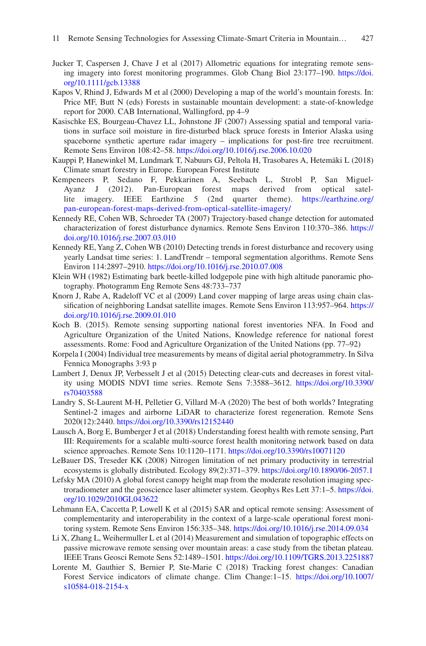- Jucker T, Caspersen J, Chave J et al (2017) Allometric equations for integrating remote sensing imagery into forest monitoring programmes. Glob Chang Biol 23:177–190. [https://doi.](https://doi.org/10.1111/gcb.13388) [org/10.1111/gcb.13388](https://doi.org/10.1111/gcb.13388)
- Kapos V, Rhind J, Edwards M et al (2000) Developing a map of the world's mountain forests. In: Price MF, Butt N (eds) Forests in sustainable mountain development: a state-of-knowledge report for 2000. CAB International, Wallingford, pp 4–9
- Kasischke ES, Bourgeau-Chavez LL, Johnstone JF (2007) Assessing spatial and temporal variations in surface soil moisture in fre-disturbed black spruce forests in Interior Alaska using spaceborne synthetic aperture radar imagery – implications for post-fre tree recruitment. Remote Sens Environ 108:42–58.<https://doi.org/10.1016/j.rse.2006.10.020>
- Kauppi P, Hanewinkel M, Lundmark T, Nabuurs GJ, Peltola H, Trasobares A, Hetemäki L (2018) Climate smart forestry in Europe. European Forest Institute
- Kempeneers P, Sedano F, Pekkarinen A, Seebach L, Strobl P, San Miguel-Ayanz J (2012). Pan-European forest maps derived from optical satellite imagery. IEEE Earthzine 5 (2nd quarter theme). [https://earthzine.org/](https://earthzine.org/pan-european-forest-maps-derived-from-optical-satellite-imagery/) [pan-european-forest-maps-derived-from-optical-satellite-imagery/](https://earthzine.org/pan-european-forest-maps-derived-from-optical-satellite-imagery/)
- Kennedy RE, Cohen WB, Schroeder TA (2007) Trajectory-based change detection for automated characterization of forest disturbance dynamics. Remote Sens Environ 110:370–386. [https://](https://doi.org/10.1016/j.rse.2007.03.010) [doi.org/10.1016/j.rse.2007.03.010](https://doi.org/10.1016/j.rse.2007.03.010)
- Kennedy RE, Yang Z, Cohen WB (2010) Detecting trends in forest disturbance and recovery using yearly Landsat time series: 1. LandTrendr – temporal segmentation algorithms. Remote Sens Environ 114:2897–2910. <https://doi.org/10.1016/j.rse.2010.07.008>
- Klein WH (1982) Estimating bark beetle-killed lodgepole pine with high altitude panoramic photography. Photogramm Eng Remote Sens 48:733–737
- Knorn J, Rabe A, Radeloff VC et al (2009) Land cover mapping of large areas using chain classifcation of neighboring Landsat satellite images. Remote Sens Environ 113:957–964. [https://](https://doi.org/10.1016/j.rse.2009.01.010) [doi.org/10.1016/j.rse.2009.01.010](https://doi.org/10.1016/j.rse.2009.01.010)
- Koch B. (2015). Remote sensing supporting national forest inventories NFA. In Food and Agriculture Organization of the United Nations, Knowledge reference for national forest assessments. Rome: Food and Agriculture Organization of the United Nations (pp. 77–92)
- Korpela I (2004) Individual tree measurements by means of digital aerial photogrammetry. In Silva Fennica Monographs 3:93 p
- Lambert J, Denux JP, Verbesselt J et al (2015) Detecting clear-cuts and decreases in forest vitality using MODIS NDVI time series. Remote Sens 7:3588–3612. [https://doi.org/10.3390/](https://doi.org/10.3390/rs70403588) [rs70403588](https://doi.org/10.3390/rs70403588)
- Landry S, St-Laurent M-H, Pelletier G, Villard M-A (2020) The best of both worlds? Integrating Sentinel-2 images and airborne LiDAR to characterize forest regeneration. Remote Sens 2020(12):2440. <https://doi.org/10.3390/rs12152440>
- Lausch A, Borg E, Bumberger J et al (2018) Understanding forest health with remote sensing, Part III: Requirements for a scalable multi-source forest health monitoring network based on data science approaches. Remote Sens 10:1120–1171. <https://doi.org/10.3390/rs10071120>
- LeBauer DS, Treseder KK (2008) Nitrogen limitation of net primary productivity in terrestrial ecosystems is globally distributed. Ecology 89(2):371–379.<https://doi.org/10.1890/06-2057.1>
- Lefsky MA (2010) A global forest canopy height map from the moderate resolution imaging spectroradiometer and the geoscience laser altimeter system. Geophys Res Lett 37:1-5. [https://doi.](https://doi.org/10.1029/2010GL043622) [org/10.1029/2010GL043622](https://doi.org/10.1029/2010GL043622)
- Lehmann EA, Caccetta P, Lowell K et al (2015) SAR and optical remote sensing: Assessment of complementarity and interoperability in the context of a large-scale operational forest monitoring system. Remote Sens Environ 156:335–348.<https://doi.org/10.1016/j.rse.2014.09.034>
- Li X, Zhang L, Weihermuller L et al (2014) Measurement and simulation of topographic effects on passive microwave remote sensing over mountain areas: a case study from the tibetan plateau. IEEE Trans Geosci Remote Sens 52:1489–1501. <https://doi.org/10.1109/TGRS.2013.2251887>
- Lorente M, Gauthier S, Bernier P, Ste-Marie C (2018) Tracking forest changes: Canadian Forest Service indicators of climate change. Clim Change:1–15. [https://doi.org/10.1007/](https://doi.org/10.1007/s10584-018-2154-x) [s10584-018-2154-x](https://doi.org/10.1007/s10584-018-2154-x)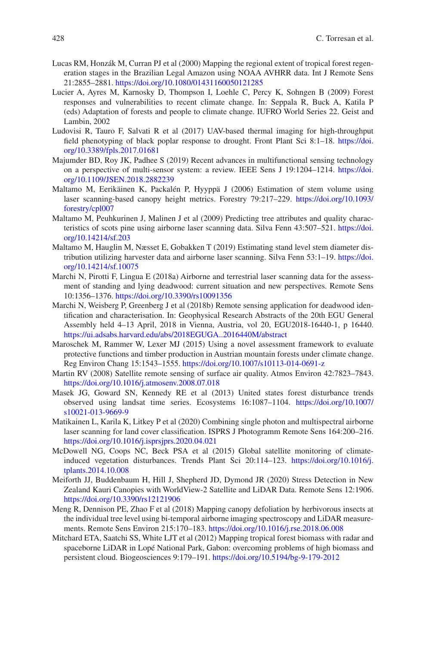- Lucas RM, Honzák M, Curran PJ et al (2000) Mapping the regional extent of tropical forest regeneration stages in the Brazilian Legal Amazon using NOAA AVHRR data. Int J Remote Sens 21:2855–2881.<https://doi.org/10.1080/01431160050121285>
- Lucier A, Ayres M, Karnosky D, Thompson I, Loehle C, Percy K, Sohngen B (2009) Forest responses and vulnerabilities to recent climate change. In: Seppala R, Buck A, Katila P (eds) Adaptation of forests and people to climate change. IUFRO World Series 22. Geist and Lambin, 2002
- Ludovisi R, Tauro F, Salvati R et al (2017) UAV-based thermal imaging for high-throughput feld phenotyping of black poplar response to drought. Front Plant Sci 8:1–18. [https://doi.](https://doi.org/10.3389/fpls.2017.01681) [org/10.3389/fpls.2017.01681](https://doi.org/10.3389/fpls.2017.01681)
- Majumder BD, Roy JK, Padhee S (2019) Recent advances in multifunctional sensing technology on a perspective of multi-sensor system: a review. IEEE Sens J 19:1204–1214. [https://doi.](https://doi.org/10.1109/JSEN.2018.2882239) [org/10.1109/JSEN.2018.2882239](https://doi.org/10.1109/JSEN.2018.2882239)
- Maltamo M, Eerikäinen K, Packalén P, Hyyppä J (2006) Estimation of stem volume using laser scanning-based canopy height metrics. Forestry 79:217–229. [https://doi.org/10.1093/](https://doi.org/10.1093/forestry/cpl007) [forestry/cpl007](https://doi.org/10.1093/forestry/cpl007)
- Maltamo M, Peuhkurinen J, Malinen J et al (2009) Predicting tree attributes and quality characteristics of scots pine using airborne laser scanning data. Silva Fenn 43:507–521. [https://doi.](https://doi.org/10.14214/sf.203) [org/10.14214/sf.203](https://doi.org/10.14214/sf.203)
- Maltamo M, Hauglin M, Næsset E, Gobakken T (2019) Estimating stand level stem diameter distribution utilizing harvester data and airborne laser scanning. Silva Fenn 53:1–19. [https://doi.](https://doi.org/10.14214/sf.10075) [org/10.14214/sf.10075](https://doi.org/10.14214/sf.10075)
- Marchi N, Pirotti F, Lingua E (2018a) Airborne and terrestrial laser scanning data for the assessment of standing and lying deadwood: current situation and new perspectives. Remote Sens 10:1356–1376.<https://doi.org/10.3390/rs10091356>
- Marchi N, Weisberg P, Greenberg J et al (2018b) Remote sensing application for deadwood identifcation and characterisation. In: Geophysical Research Abstracts of the 20th EGU General Assembly held 4–13 April, 2018 in Vienna, Austria, vol 20, EGU2018-16440-1, p 16440. <https://ui.adsabs.harvard.edu/abs/2018EGUGA..2016440M/abstract>
- Maroschek M, Rammer W, Lexer MJ (2015) Using a novel assessment framework to evaluate protective functions and timber production in Austrian mountain forests under climate change. Reg Environ Chang 15:1543–1555.<https://doi.org/10.1007/s10113-014-0691-z>
- Martin RV (2008) Satellite remote sensing of surface air quality. Atmos Environ 42:7823–7843. <https://doi.org/10.1016/j.atmosenv.2008.07.018>
- Masek JG, Goward SN, Kennedy RE et al (2013) United states forest disturbance trends observed using landsat time series. Ecosystems 16:1087–1104. [https://doi.org/10.1007/](https://doi.org/10.1007/s10021-013-9669-9) [s10021-013-9669-9](https://doi.org/10.1007/s10021-013-9669-9)
- Matikainen L, Karila K, Litkey P et al (2020) Combining single photon and multispectral airborne laser scanning for land cover classifcation. ISPRS J Photogramm Remote Sens 164:200–216. <https://doi.org/10.1016/j.isprsjprs.2020.04.021>
- McDowell NG, Coops NC, Beck PSA et al (2015) Global satellite monitoring of climateinduced vegetation disturbances. Trends Plant Sci 20:114–123. [https://doi.org/10.1016/j.](https://doi.org/10.1016/j.tplants.2014.10.008) [tplants.2014.10.008](https://doi.org/10.1016/j.tplants.2014.10.008)
- Meiforth JJ, Buddenbaum H, Hill J, Shepherd JD, Dymond JR (2020) Stress Detection in New Zealand Kauri Canopies with WorldView-2 Satellite and LiDAR Data. Remote Sens 12:1906. <https://doi.org/10.3390/rs12121906>
- Meng R, Dennison PE, Zhao F et al (2018) Mapping canopy defoliation by herbivorous insects at the individual tree level using bi-temporal airborne imaging spectroscopy and LiDAR measurements. Remote Sens Environ 215:170–183.<https://doi.org/10.1016/j.rse.2018.06.008>
- Mitchard ETA, Saatchi SS, White LJT et al (2012) Mapping tropical forest biomass with radar and spaceborne LiDAR in Lopé National Park, Gabon: overcoming problems of high biomass and persistent cloud. Biogeosciences 9:179–191.<https://doi.org/10.5194/bg-9-179-2012>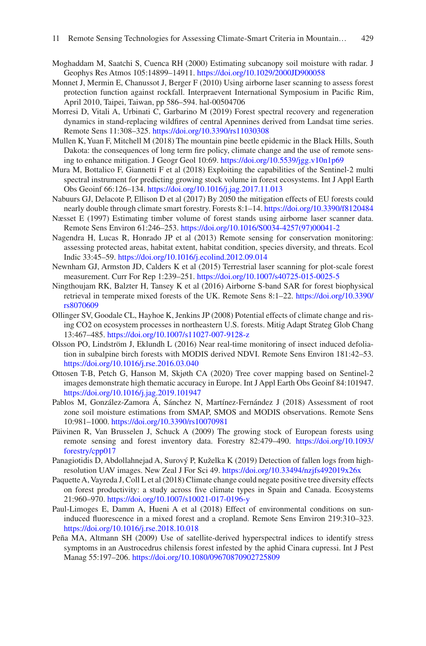- Moghaddam M, Saatchi S, Cuenca RH (2000) Estimating subcanopy soil moisture with radar. J Geophys Res Atmos 105:14899–14911.<https://doi.org/10.1029/2000JD900058>
- Monnet J, Mermin E, Chanussot J, Berger F (2010) Using airborne laser scanning to assess forest protection function against rockfall. Interpraevent International Symposium in Pacifc Rim, April 2010, Taipei, Taiwan, pp 586–594. hal-00504706
- Morresi D, Vitali A, Urbinati C, Garbarino M (2019) Forest spectral recovery and regeneration dynamics in stand-replacing wildfres of central Apennines derived from Landsat time series. Remote Sens 11:308–325.<https://doi.org/10.3390/rs11030308>
- Mullen K, Yuan F, Mitchell M (2018) The mountain pine beetle epidemic in the Black Hills, South Dakota: the consequences of long term fre policy, climate change and the use of remote sensing to enhance mitigation. J Geogr Geol 10:69. <https://doi.org/10.5539/jgg.v10n1p69>
- Mura M, Bottalico F, Giannetti F et al (2018) Exploiting the capabilities of the Sentinel-2 multi spectral instrument for predicting growing stock volume in forest ecosystems. Int J Appl Earth Obs Geoinf 66:126–134.<https://doi.org/10.1016/j.jag.2017.11.013>
- Nabuurs GJ, Delacote P, Ellison D et al (2017) By 2050 the mitigation effects of EU forests could nearly double through climate smart forestry. Forests 8:1–14.<https://doi.org/10.3390/f8120484>
- Næsset E (1997) Estimating timber volume of forest stands using airborne laser scanner data. Remote Sens Environ 61:246–253. [https://doi.org/10.1016/S0034-4257\(97\)00041-2](https://doi.org/10.1016/S0034-4257(97)00041-2)
- Nagendra H, Lucas R, Honrado JP et al (2013) Remote sensing for conservation monitoring: assessing protected areas, habitat extent, habitat condition, species diversity, and threats. Ecol Indic 33:45–59. <https://doi.org/10.1016/j.ecolind.2012.09.014>
- Newnham GJ, Armston JD, Calders K et al (2015) Terrestrial laser scanning for plot-scale forest measurement. Curr For Rep 1:239–251.<https://doi.org/10.1007/s40725-015-0025-5>
- Ningthoujam RK, Balzter H, Tansey K et al (2016) Airborne S-band SAR for forest biophysical retrieval in temperate mixed forests of the UK. Remote Sens 8:1–22. [https://doi.org/10.3390/](https://doi.org/10.3390/rs8070609) [rs8070609](https://doi.org/10.3390/rs8070609)
- Ollinger SV, Goodale CL, Hayhoe K, Jenkins JP (2008) Potential effects of climate change and rising CO2 on ecosystem processes in northeastern U.S. forests. Mitig Adapt Strateg Glob Chang 13:467–485. <https://doi.org/10.1007/s11027-007-9128-z>
- Olsson PO, Lindström J, Eklundh L (2016) Near real-time monitoring of insect induced defoliation in subalpine birch forests with MODIS derived NDVI. Remote Sens Environ 181:42–53. <https://doi.org/10.1016/j.rse.2016.03.040>
- Ottosen T-B, Petch G, Hanson M, Skjøth CA (2020) Tree cover mapping based on Sentinel-2 images demonstrate high thematic accuracy in Europe. Int J Appl Earth Obs Geoinf 84:101947. <https://doi.org/10.1016/j.jag.2019.101947>
- Pablos M, González-Zamora Á, Sánchez N, Martínez-Fernández J (2018) Assessment of root zone soil moisture estimations from SMAP, SMOS and MODIS observations. Remote Sens 10:981–1000. <https://doi.org/10.3390/rs10070981>
- Päivinen R, Van Brusselen J, Schuck A (2009) The growing stock of European forests using remote sensing and forest inventory data. Forestry 82:479–490. [https://doi.org/10.1093/](https://doi.org/10.1093/forestry/cpp017) [forestry/cpp017](https://doi.org/10.1093/forestry/cpp017)
- Panagiotidis D, Abdollahnejad A, Surový P, Kuželka K (2019) Detection of fallen logs from highresolution UAV images. New Zeal J For Sci 49. <https://doi.org/10.33494/nzjfs492019x26x>
- Paquette A, Vayreda J, Coll L et al (2018) Climate change could negate positive tree diversity effects on forest productivity: a study across fve climate types in Spain and Canada. Ecosystems 21:960–970. <https://doi.org/10.1007/s10021-017-0196-y>
- Paul-Limoges E, Damm A, Hueni A et al (2018) Effect of environmental conditions on suninduced fuorescence in a mixed forest and a cropland. Remote Sens Environ 219:310–323. <https://doi.org/10.1016/j.rse.2018.10.018>
- Peña MA, Altmann SH (2009) Use of satellite-derived hyperspectral indices to identify stress symptoms in an Austrocedrus chilensis forest infested by the aphid Cinara cupressi. Int J Pest Manag 55:197–206.<https://doi.org/10.1080/09670870902725809>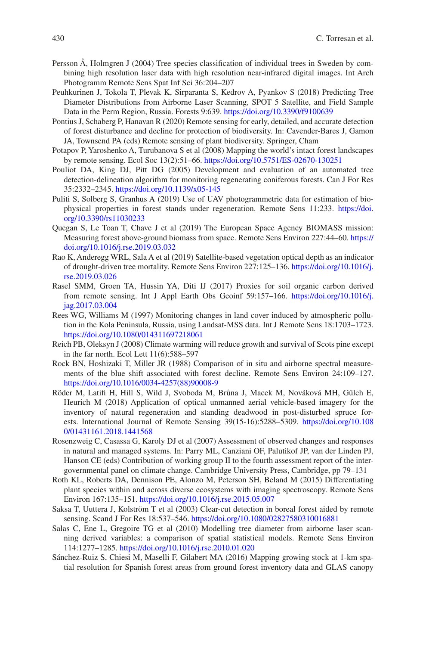- Persson Å, Holmgren J (2004) Tree species classifcation of individual trees in Sweden by combining high resolution laser data with high resolution near-infrared digital images. Int Arch Photogramm Remote Sens Spat Inf Sci 36:204–207
- Peuhkurinen J, Tokola T, Plevak K, Sirparanta S, Kedrov A, Pyankov S (2018) Predicting Tree Diameter Distributions from Airborne Laser Scanning, SPOT 5 Satellite, and Field Sample Data in the Perm Region, Russia. Forests 9:639.<https://doi.org/10.3390/f9100639>
- Pontius J, Schaberg P, Hanavan R (2020) Remote sensing for early, detailed, and accurate detection of forest disturbance and decline for protection of biodiversity. In: Cavender-Bares J, Gamon JA, Townsend PA (eds) Remote sensing of plant biodiversity. Springer, Cham
- Potapov P, Yaroshenko A, Turubanova S et al (2008) Mapping the world's intact forest landscapes by remote sensing. Ecol Soc 13(2):51–66. <https://doi.org/10.5751/ES-02670-130251>
- Pouliot DA, King DJ, Pitt DG (2005) Development and evaluation of an automated tree detection-delineation algorithm for monitoring regenerating coniferous forests. Can J For Res 35:2332–2345.<https://doi.org/10.1139/x05-145>
- Puliti S, Solberg S, Granhus A (2019) Use of UAV photogrammetric data for estimation of biophysical properties in forest stands under regeneration. Remote Sens 11:233. [https://doi.](https://doi.org/10.3390/rs11030233) [org/10.3390/rs11030233](https://doi.org/10.3390/rs11030233)
- Quegan S, Le Toan T, Chave J et al (2019) The European Space Agency BIOMASS mission: Measuring forest above-ground biomass from space. Remote Sens Environ 227:44–60. [https://](https://doi.org/10.1016/j.rse.2019.03.032) [doi.org/10.1016/j.rse.2019.03.032](https://doi.org/10.1016/j.rse.2019.03.032)
- Rao K, Anderegg WRL, Sala A et al (2019) Satellite-based vegetation optical depth as an indicator of drought-driven tree mortality. Remote Sens Environ 227:125–136. [https://doi.org/10.1016/j.](https://doi.org/10.1016/j.rse.2019.03.026) [rse.2019.03.026](https://doi.org/10.1016/j.rse.2019.03.026)
- Rasel SMM, Groen TA, Hussin YA, Diti IJ (2017) Proxies for soil organic carbon derived from remote sensing. Int J Appl Earth Obs Geoinf 59:157–166. [https://doi.org/10.1016/j.](https://doi.org/10.1016/j.jag.2017.03.004) [jag.2017.03.004](https://doi.org/10.1016/j.jag.2017.03.004)
- Rees WG, Williams M (1997) Monitoring changes in land cover induced by atmospheric pollution in the Kola Peninsula, Russia, using Landsat-MSS data. Int J Remote Sens 18:1703–1723. <https://doi.org/10.1080/014311697218061>
- Reich PB, Oleksyn J (2008) Climate warming will reduce growth and survival of Scots pine except in the far north. Ecol Lett 11(6):588–597
- Rock BN, Hoshizaki T, Miller JR (1988) Comparison of in situ and airborne spectral measurements of the blue shift associated with forest decline. Remote Sens Environ 24:109–127. [https://doi.org/10.1016/0034-4257\(88\)90008-9](https://doi.org/10.1016/0034-4257(88)90008-9)
- Röder M, Latif H, Hill S, Wild J, Svoboda M, Brůna J, Macek M, Nováková MH, Gülch E, Heurich M (2018) Application of optical unmanned aerial vehicle-based imagery for the inventory of natural regeneration and standing deadwood in post-disturbed spruce forests. International Journal of Remote Sensing 39(15-16):5288–5309. [https://doi.org/10.108](https://doi.org/10.1080/01431161.2018.1441568) [0/01431161.2018.1441568](https://doi.org/10.1080/01431161.2018.1441568)
- Rosenzweig C, Casassa G, Karoly DJ et al (2007) Assessment of observed changes and responses in natural and managed systems. In: Parry ML, Canziani OF, Palutikof JP, van der Linden PJ, Hanson CE (eds) Contribution of working group II to the fourth assessment report of the intergovernmental panel on climate change. Cambridge University Press, Cambridge, pp 79–131
- Roth KL, Roberts DA, Dennison PE, Alonzo M, Peterson SH, Beland M (2015) Differentiating plant species within and across diverse ecosystems with imaging spectroscopy. Remote Sens Environ 167:135–151.<https://doi.org/10.1016/j.rse.2015.05.007>
- Saksa T, Uuttera J, Kolström T et al (2003) Clear-cut detection in boreal forest aided by remote sensing. Scand J For Res 18:537–546.<https://doi.org/10.1080/02827580310016881>
- Salas C, Ene L, Gregoire TG et al (2010) Modelling tree diameter from airborne laser scanning derived variables: a comparison of spatial statistical models. Remote Sens Environ 114:1277–1285.<https://doi.org/10.1016/j.rse.2010.01.020>
- Sánchez-Ruiz S, Chiesi M, Maselli F, Gilabert MA (2016) Mapping growing stock at 1-km spatial resolution for Spanish forest areas from ground forest inventory data and GLAS canopy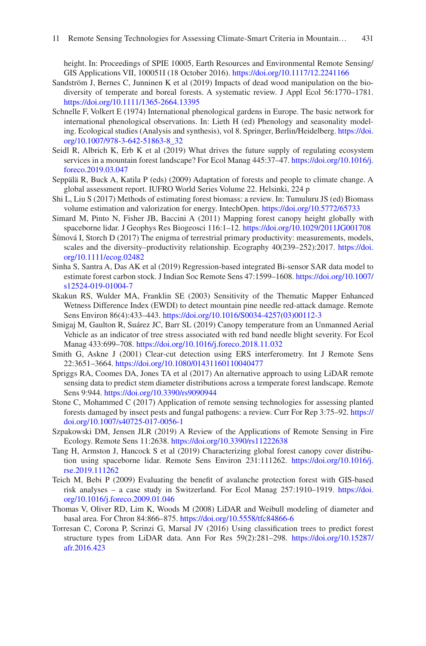height. In: Proceedings of SPIE 10005, Earth Resources and Environmental Remote Sensing/ GIS Applications VII, 100051I (18 October 2016). <https://doi.org/10.1117/12.2241166>

- Sandström J, Bernes C, Junninen K et al (2019) Impacts of dead wood manipulation on the biodiversity of temperate and boreal forests. A systematic review. J Appl Ecol 56:1770–1781. <https://doi.org/10.1111/1365-2664.13395>
- Schnelle F, Volkert E (1974) International phenological gardens in Europe. The basic network for international phenological observations. In: Lieth H (ed) Phenology and seasonality modeling. Ecological studies (Analysis and synthesis), vol 8. Springer, Berlin/Heidelberg. [https://doi.](https://doi.org/10.1007/978-3-642-51863-8_32) [org/10.1007/978-3-642-51863-8\\_32](https://doi.org/10.1007/978-3-642-51863-8_32)
- Seidl R, Albrich K, Erb K et al (2019) What drives the future supply of regulating ecosystem services in a mountain forest landscape? For Ecol Manag 445:37–47. [https://doi.org/10.1016/j.](https://doi.org/10.1016/j.foreco.2019.03.047) [foreco.2019.03.047](https://doi.org/10.1016/j.foreco.2019.03.047)
- Seppälä R, Buck A, Katila P (eds) (2009) Adaptation of forests and people to climate change. A global assessment report. IUFRO World Series Volume 22. Helsinki, 224 p
- Shi L, Liu S (2017) Methods of estimating forest biomass: a review. In: Tumuluru JS (ed) Biomass volume estimation and valorization for energy. IntechOpen.<https://doi.org/10.5772/65733>
- Simard M, Pinto N, Fisher JB, Baccini A (2011) Mapping forest canopy height globally with spaceborne lidar. J Geophys Res Biogeosci 116:1–12. <https://doi.org/10.1029/2011JG001708>
- Šímová I, Storch D (2017) The enigma of terrestrial primary productivity: measurements, models, scales and the diversity–productivity relationship. Ecography 40(239–252):2017. [https://doi.](https://doi.org/10.1111/ecog.02482) [org/10.1111/ecog.02482](https://doi.org/10.1111/ecog.02482)
- Sinha S, Santra A, Das AK et al (2019) Regression-based integrated Bi-sensor SAR data model to estimate forest carbon stock. J Indian Soc Remote Sens 47:1599–1608. [https://doi.org/10.1007/](https://doi.org/10.1007/s12524-019-01004-7) [s12524-019-01004-7](https://doi.org/10.1007/s12524-019-01004-7)
- Skakun RS, Wulder MA, Franklin SE (2003) Sensitivity of the Thematic Mapper Enhanced Wetness Difference Index (EWDI) to detect mountain pine needle red-attack damage. Remote Sens Environ 86(4):433–443. [https://doi.org/10.1016/S0034-4257\(03\)00112-3](https://doi.org/10.1016/S0034-4257(03)00112-3)
- Smigaj M, Gaulton R, Suárez JC, Barr SL (2019) Canopy temperature from an Unmanned Aerial Vehicle as an indicator of tree stress associated with red band needle blight severity. For Ecol Manag 433:699–708. <https://doi.org/10.1016/j.foreco.2018.11.032>
- Smith G, Askne J (2001) Clear-cut detection using ERS interferometry. Int J Remote Sens 22:3651–3664.<https://doi.org/10.1080/01431160110040477>
- Spriggs RA, Coomes DA, Jones TA et al (2017) An alternative approach to using LiDAR remote sensing data to predict stem diameter distributions across a temperate forest landscape. Remote Sens 9:944. <https://doi.org/10.3390/rs9090944>
- Stone C, Mohammed C (2017) Application of remote sensing technologies for assessing planted forests damaged by insect pests and fungal pathogens: a review. Curr For Rep 3:75–92. [https://](https://doi.org/10.1007/s40725-017-0056-1) [doi.org/10.1007/s40725-017-0056-1](https://doi.org/10.1007/s40725-017-0056-1)
- Szpakowski DM, Jensen JLR (2019) A Review of the Applications of Remote Sensing in Fire Ecology. Remote Sens 11:2638. <https://doi.org/10.3390/rs11222638>
- Tang H, Armston J, Hancock S et al (2019) Characterizing global forest canopy cover distribution using spaceborne lidar. Remote Sens Environ 231:111262. [https://doi.org/10.1016/j.](https://doi.org/10.1016/j.rse.2019.111262) [rse.2019.111262](https://doi.org/10.1016/j.rse.2019.111262)
- Teich M, Bebi P (2009) Evaluating the beneft of avalanche protection forest with GIS-based risk analyses – a case study in Switzerland. For Ecol Manag 257:1910–1919. [https://doi.](https://doi.org/10.1016/j.foreco.2009.01.046) [org/10.1016/j.foreco.2009.01.046](https://doi.org/10.1016/j.foreco.2009.01.046)
- Thomas V, Oliver RD, Lim K, Woods M (2008) LiDAR and Weibull modeling of diameter and basal area. For Chron 84:866–875. <https://doi.org/10.5558/tfc84866-6>
- Torresan C, Corona P, Scrinzi G, Marsal JV (2016) Using classifcation trees to predict forest structure types from LiDAR data. Ann For Res 59(2):281–298. [https://doi.org/10.15287/](https://doi.org/10.15287/afr.2016.423) [afr.2016.423](https://doi.org/10.15287/afr.2016.423)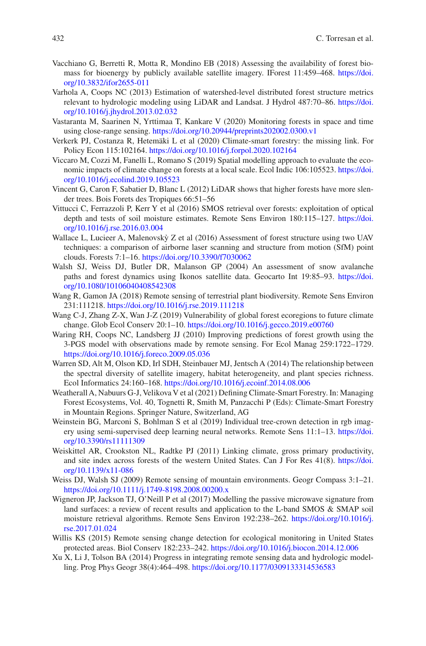- Vacchiano G, Berretti R, Motta R, Mondino EB (2018) Assessing the availability of forest biomass for bioenergy by publicly available satellite imagery. IForest 11:459–468. [https://doi.](https://doi.org/10.3832/ifor2655-011) [org/10.3832/ifor2655-011](https://doi.org/10.3832/ifor2655-011)
- Varhola A, Coops NC (2013) Estimation of watershed-level distributed forest structure metrics relevant to hydrologic modeling using LiDAR and Landsat. J Hydrol 487:70–86. [https://doi.](https://doi.org/10.1016/j.jhydrol.2013.02.032) [org/10.1016/j.jhydrol.2013.02.032](https://doi.org/10.1016/j.jhydrol.2013.02.032)
- Vastaranta M, Saarinen N, Yrttimaa T, Kankare V (2020) Monitoring forests in space and time using close-range sensing.<https://doi.org/10.20944/preprints202002.0300.v1>
- Verkerk PJ, Costanza R, Hetemäki L et al (2020) Climate-smart forestry: the missing link. For Policy Econ 115:102164.<https://doi.org/10.1016/j.forpol.2020.102164>
- Viccaro M, Cozzi M, Fanelli L, Romano S (2019) Spatial modelling approach to evaluate the economic impacts of climate change on forests at a local scale. Ecol Indic 106:105523. [https://doi.](https://doi.org/10.1016/j.ecolind.2019.105523) [org/10.1016/j.ecolind.2019.105523](https://doi.org/10.1016/j.ecolind.2019.105523)
- Vincent G, Caron F, Sabatier D, Blanc L (2012) LiDAR shows that higher forests have more slender trees. Bois Forets des Tropiques 66:51–56
- Vittucci C, Ferrazzoli P, Kerr Y et al (2016) SMOS retrieval over forests: exploitation of optical depth and tests of soil moisture estimates. Remote Sens Environ 180:115–127. [https://doi.](https://doi.org/10.1016/j.rse.2016.03.004) [org/10.1016/j.rse.2016.03.004](https://doi.org/10.1016/j.rse.2016.03.004)
- Wallace L, Lucieer A, Malenovskỳ Z et al (2016) Assessment of forest structure using two UAV techniques: a comparison of airborne laser scanning and structure from motion (SfM) point clouds. Forests 7:1–16. <https://doi.org/10.3390/f7030062>
- Walsh SJ, Weiss DJ, Butler DR, Malanson GP (2004) An assessment of snow avalanche paths and forest dynamics using Ikonos satellite data. Geocarto Int 19:85–93. [https://doi.](https://doi.org/10.1080/10106040408542308) [org/10.1080/10106040408542308](https://doi.org/10.1080/10106040408542308)
- Wang R, Gamon JA (2018) Remote sensing of terrestrial plant biodiversity. Remote Sens Environ 231:111218. <https://doi.org/10.1016/j.rse.2019.111218>
- Wang C-J, Zhang Z-X, Wan J-Z (2019) Vulnerability of global forest ecoregions to future climate change. Glob Ecol Conserv 20:1–10. <https://doi.org/10.1016/j.gecco.2019.e00760>
- Waring RH, Coops NC, Landsberg JJ (2010) Improving predictions of forest growth using the 3-PGS model with observations made by remote sensing. For Ecol Manag 259:1722–1729. <https://doi.org/10.1016/j.foreco.2009.05.036>
- Warren SD, Alt M, Olson KD, Irl SDH, Steinbauer MJ, Jentsch A (2014) The relationship between the spectral diversity of satellite imagery, habitat heterogeneity, and plant species richness. Ecol Informatics 24:160–168. <https://doi.org/10.1016/j.ecoinf.2014.08.006>
- Weatherall A, Nabuurs G-J, Velikova V et al (2021) Defning Climate-Smart Forestry. In: Managing Forest Ecosystems, Vol. 40, Tognetti R, Smith M, Panzacchi P (Eds): Climate-Smart Forestry in Mountain Regions. Springer Nature, Switzerland, AG
- Weinstein BG, Marconi S, Bohlman S et al (2019) Individual tree-crown detection in rgb imagery using semi-supervised deep learning neural networks. Remote Sens 11:1–13. [https://doi.](https://doi.org/10.3390/rs11111309) [org/10.3390/rs11111309](https://doi.org/10.3390/rs11111309)
- Weiskittel AR, Crookston NL, Radtke PJ (2011) Linking climate, gross primary productivity, and site index across forests of the western United States. Can J For Res 41(8). [https://doi.](https://doi.org/10.1139/x11-086) [org/10.1139/x11-086](https://doi.org/10.1139/x11-086)
- Weiss DJ, Walsh SJ (2009) Remote sensing of mountain environments. Geogr Compass 3:1–21. <https://doi.org/10.1111/j.1749-8198.2008.00200.x>
- Wigneron JP, Jackson TJ, O'Neill P et al (2017) Modelling the passive microwave signature from land surfaces: a review of recent results and application to the L-band SMOS & SMAP soil moisture retrieval algorithms. Remote Sens Environ 192:238–262. [https://doi.org/10.1016/j.](https://doi.org/10.1016/j.rse.2017.01.024) [rse.2017.01.024](https://doi.org/10.1016/j.rse.2017.01.024)
- Willis KS (2015) Remote sensing change detection for ecological monitoring in United States protected areas. Biol Conserv 182:233–242. <https://doi.org/10.1016/j.biocon.2014.12.006>
- Xu X, Li J, Tolson BA (2014) Progress in integrating remote sensing data and hydrologic modelling. Prog Phys Geogr 38(4):464–498.<https://doi.org/10.1177/0309133314536583>